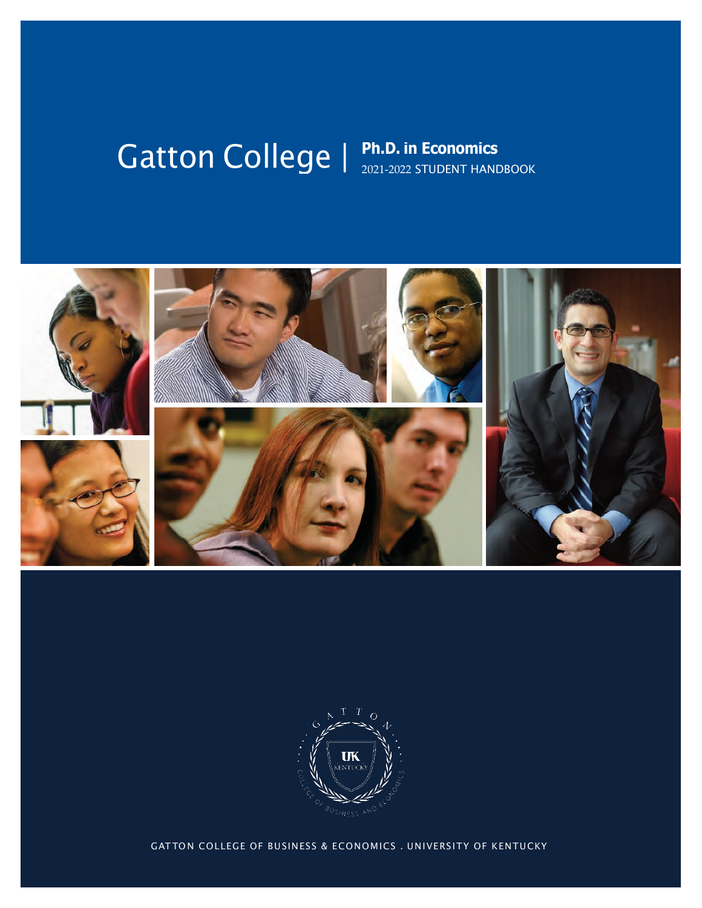# Gatton College | Ph.D. in Economics **Catton College**





GATTON COLLEGE OF BUSINESS & ECONOMICS . UNIVERSITY OF KENTUCKY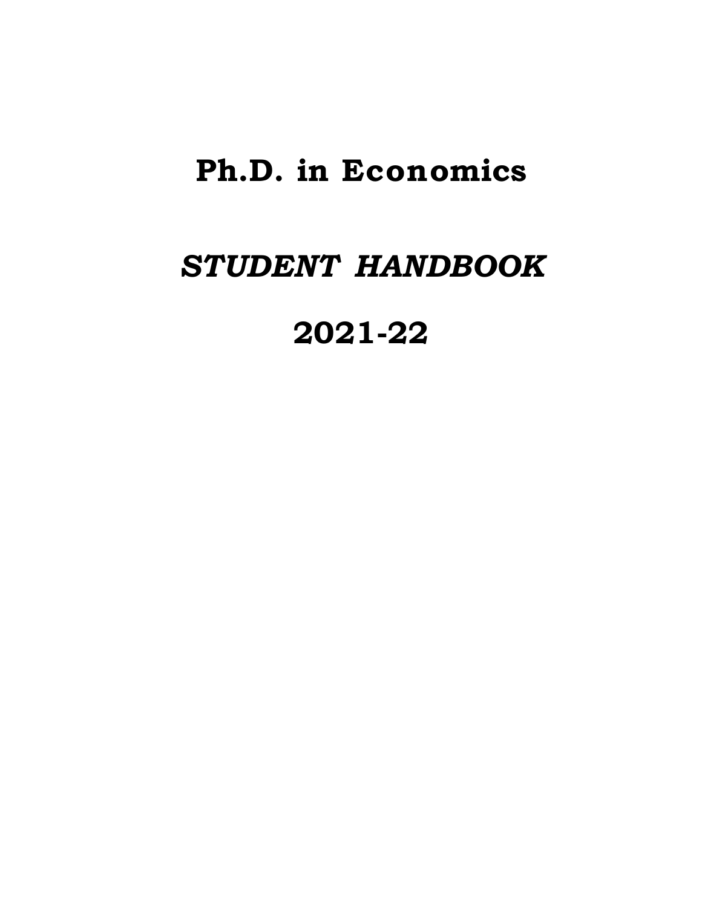# **Ph.D. in Economics**

# *STUDENT HANDBOOK*

**2021-22**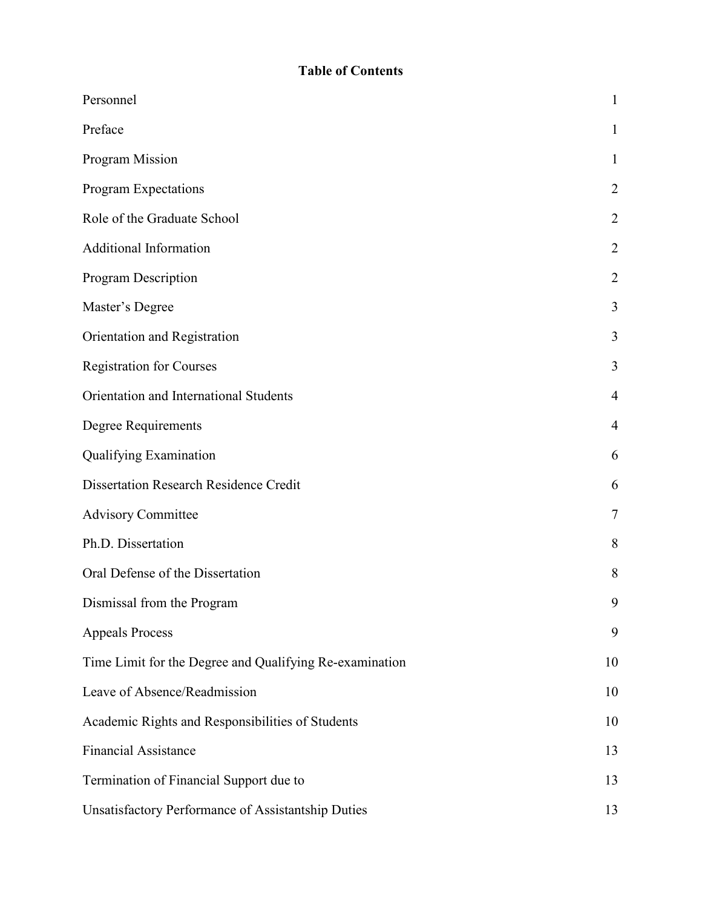# **Table of Contents**

| Personnel                                               | 1              |
|---------------------------------------------------------|----------------|
| Preface                                                 | $\mathbf 1$    |
| Program Mission                                         | $\mathbf{1}$   |
| Program Expectations                                    | $\overline{2}$ |
| Role of the Graduate School                             | 2              |
| <b>Additional Information</b>                           | $\overline{2}$ |
| Program Description                                     | $\overline{2}$ |
| Master's Degree                                         | 3              |
| Orientation and Registration                            | 3              |
| <b>Registration for Courses</b>                         | 3              |
| Orientation and International Students                  | $\overline{4}$ |
| Degree Requirements                                     | 4              |
| Qualifying Examination                                  | 6              |
| <b>Dissertation Research Residence Credit</b>           | 6              |
| <b>Advisory Committee</b>                               | 7              |
| Ph.D. Dissertation                                      | 8              |
| Oral Defense of the Dissertation                        | 8              |
| Dismissal from the Program                              | 9              |
| <b>Appeals Process</b>                                  | 9              |
| Time Limit for the Degree and Qualifying Re-examination | 10             |
| Leave of Absence/Readmission                            | 10             |
| Academic Rights and Responsibilities of Students        | 10             |
| <b>Financial Assistance</b>                             | 13             |
| Termination of Financial Support due to                 | 13             |
| Unsatisfactory Performance of Assistantship Duties      | 13             |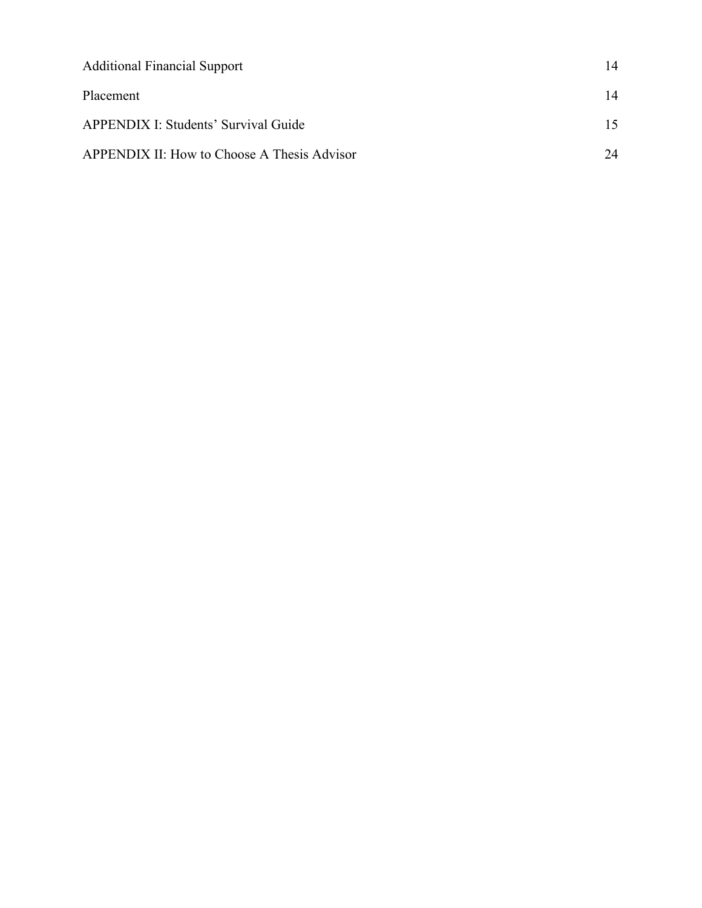| <b>Additional Financial Support</b>         | 14 |
|---------------------------------------------|----|
| Placement                                   | 14 |
| <b>APPENDIX I: Students' Survival Guide</b> | 15 |
| APPENDIX II: How to Choose A Thesis Advisor | 24 |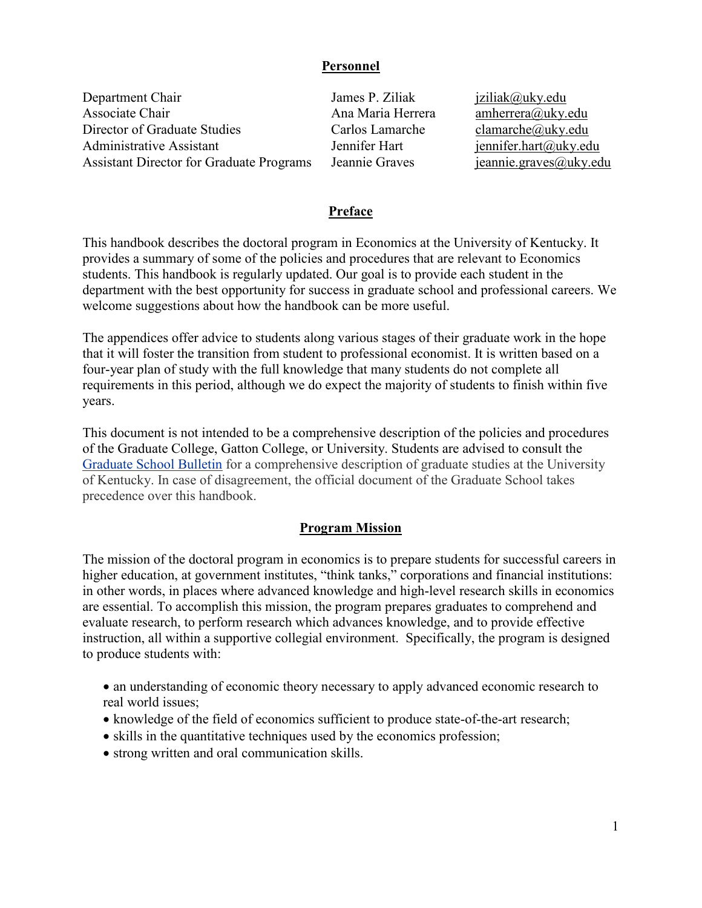#### **Personnel**

<span id="page-4-0"></span>Department Chair James P. Ziliak [jziliak@uky.edu](mailto:jziliak@uky.edu) Associate Chair **Ana Maria Herrera** Anaherrera amherrera amherrera amherrera amherrera amherrera amherrera amherrera amherrera amherrera amherrera amherrera amherrera amherrera amherrera amherrera amherrera amherrera amher Director of Graduate Studies Carlos Lamarche clamarche clamarche clamarche clamarche clamarche clamarche clamarche clamarche clamarche clamarche clamarche clamarche clamarche clamarche clamarche clamarche clamarche clamarc Administrative Assistant Jennifer Hart [jennifer.hart@uky.edu](mailto:jennifer.hart@uky.edu) Assistant Director for Graduate Programs Jeannie Graves [jeannie.graves@uky.edu](mailto:jeannie.graves@uky.edu)

#### **Preface**

<span id="page-4-1"></span>This handbook describes the doctoral program in Economics at the University of Kentucky. It provides a summary of some of the policies and procedures that are relevant to Economics students. This handbook is regularly updated. Our goal is to provide each student in the department with the best opportunity for success in graduate school and professional careers. We welcome suggestions about how the handbook can be more useful.

The appendices offer advice to students along various stages of their graduate work in the hope that it will foster the transition from student to professional economist. It is written based on a four-year plan of study with the full knowledge that many students do not complete all requirements in this period, although we do expect the majority of students to finish within five years.

This document is not intended to be a comprehensive description of the policies and procedures of the Graduate College, Gatton College, or University. Students are advised to consult the [Graduate School Bulletin](https://gradschool.uky.edu/graduate-school-bulletin) for a comprehensive description of graduate studies at the University of Kentucky. In case of disagreement, the official document of the Graduate School takes precedence over this handbook.

#### **Program Mission**

<span id="page-4-2"></span>The mission of the doctoral program in economics is to prepare students for successful careers in higher education, at government institutes, "think tanks," corporations and financial institutions: in other words, in places where advanced knowledge and high-level research skills in economics are essential. To accomplish this mission, the program prepares graduates to comprehend and evaluate research, to perform research which advances knowledge, and to provide effective instruction, all within a supportive collegial environment. Specifically, the program is designed to produce students with:

- an understanding of economic theory necessary to apply advanced economic research to real world issues;
- knowledge of the field of economics sufficient to produce state-of-the-art research;
- skills in the quantitative techniques used by the economics profession;
- strong written and oral communication skills.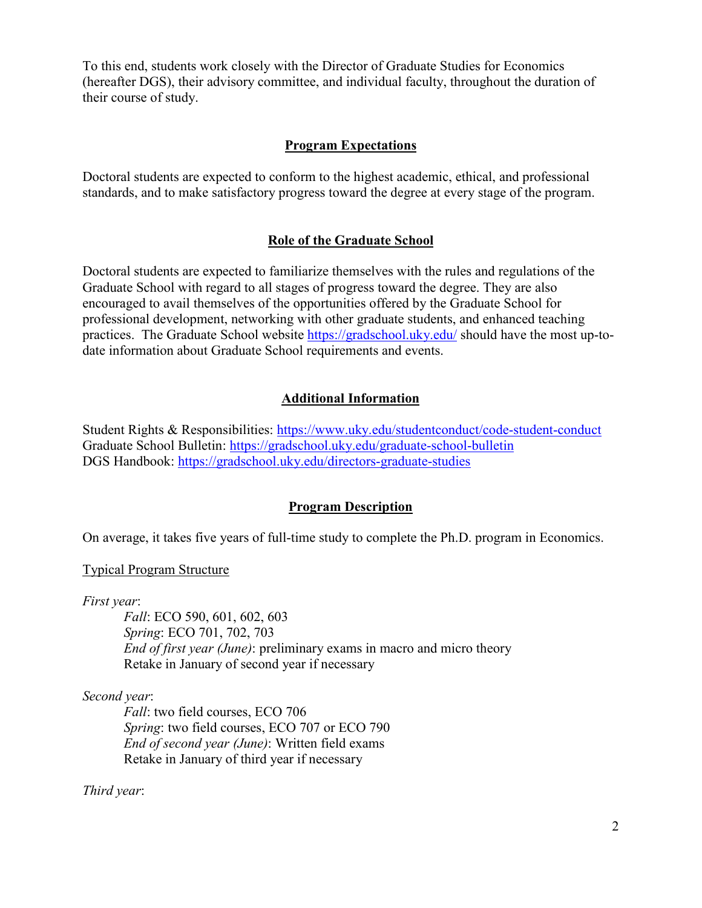To this end, students work closely with the Director of Graduate Studies for Economics (hereafter DGS), their advisory committee, and individual faculty, throughout the duration of their course of study.

#### **Program Expectations**

<span id="page-5-0"></span>Doctoral students are expected to conform to the highest academic, ethical, and professional standards, and to make satisfactory progress toward the degree at every stage of the program.

#### **Role of the Graduate School**

<span id="page-5-1"></span>Doctoral students are expected to familiarize themselves with the rules and regulations of the Graduate School with regard to all stages of progress toward the degree. They are also encouraged to avail themselves of the opportunities offered by the Graduate School for professional development, networking with other graduate students, and enhanced teaching practices. The Graduate School website <https://gradschool.uky.edu/> should have the most up-todate information about Graduate School requirements and events.

#### **Additional Information**

<span id="page-5-2"></span>Student Rights & Responsibilities: <https://www.uky.edu/studentconduct/code-student-conduct> Graduate School Bulletin: <https://gradschool.uky.edu/graduate-school-bulletin> DGS Handbook:<https://gradschool.uky.edu/directors-graduate-studies>

#### **Program Description**

<span id="page-5-3"></span>On average, it takes five years of full-time study to complete the Ph.D. program in Economics.

#### Typical Program Structure

*First year*:

*Fall*: ECO 590, 601, 602, 603 *Spring*: ECO 701, 702, 703 *End of first year (June)*: preliminary exams in macro and micro theory Retake in January of second year if necessary

#### *Second year*:

*Fall*: two field courses, ECO 706 *Spring*: two field courses, ECO 707 or ECO 790 *End of second year (June)*: Written field exams Retake in January of third year if necessary

*Third year*: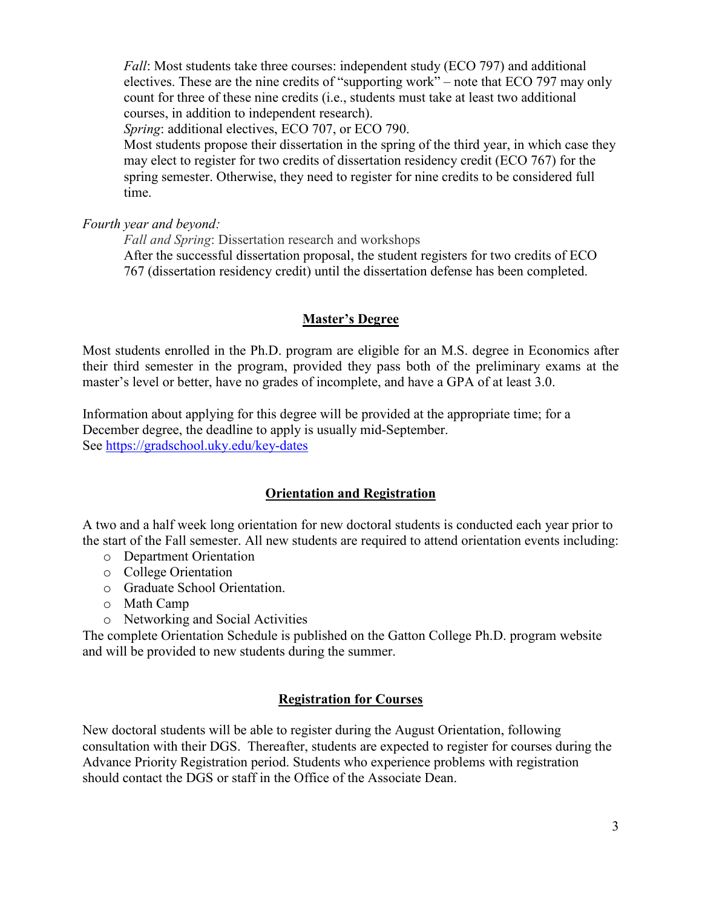*Fall*: Most students take three courses: independent study (ECO 797) and additional electives. These are the nine credits of "supporting work" – note that ECO 797 may only count for three of these nine credits (i.e., students must take at least two additional courses, in addition to independent research).

*Spring*: additional electives, ECO 707, or ECO 790.

Most students propose their dissertation in the spring of the third year, in which case they may elect to register for two credits of dissertation residency credit (ECO 767) for the spring semester. Otherwise, they need to register for nine credits to be considered full time.

*Fourth year and beyond:*

*Fall and Spring*: Dissertation research and workshops After the successful dissertation proposal, the student registers for two credits of ECO 767 (dissertation residency credit) until the dissertation defense has been completed.

# **Master's Degree**

<span id="page-6-0"></span>Most students enrolled in the Ph.D. program are eligible for an M.S. degree in Economics after their third semester in the program, provided they pass both of the preliminary exams at the master's level or better, have no grades of incomplete, and have a GPA of at least 3.0.

Information about applying for this degree will be provided at the appropriate time; for a December degree, the deadline to apply is usually mid-September. See<https://gradschool.uky.edu/key-dates>

# **Orientation and Registration**

<span id="page-6-1"></span>A two and a half week long orientation for new doctoral students is conducted each year prior to the start of the Fall semester. All new students are required to attend orientation events including:

- o Department Orientation
- o College Orientation
- o Graduate School Orientation.
- o Math Camp
- o Networking and Social Activities

The complete Orientation Schedule is published on the Gatton College Ph.D. program website and will be provided to new students during the summer.

# **Registration for Courses**

<span id="page-6-2"></span>New doctoral students will be able to register during the August Orientation, following consultation with their DGS. Thereafter, students are expected to register for courses during the Advance Priority Registration period. Students who experience problems with registration should contact the DGS or staff in the Office of the Associate Dean.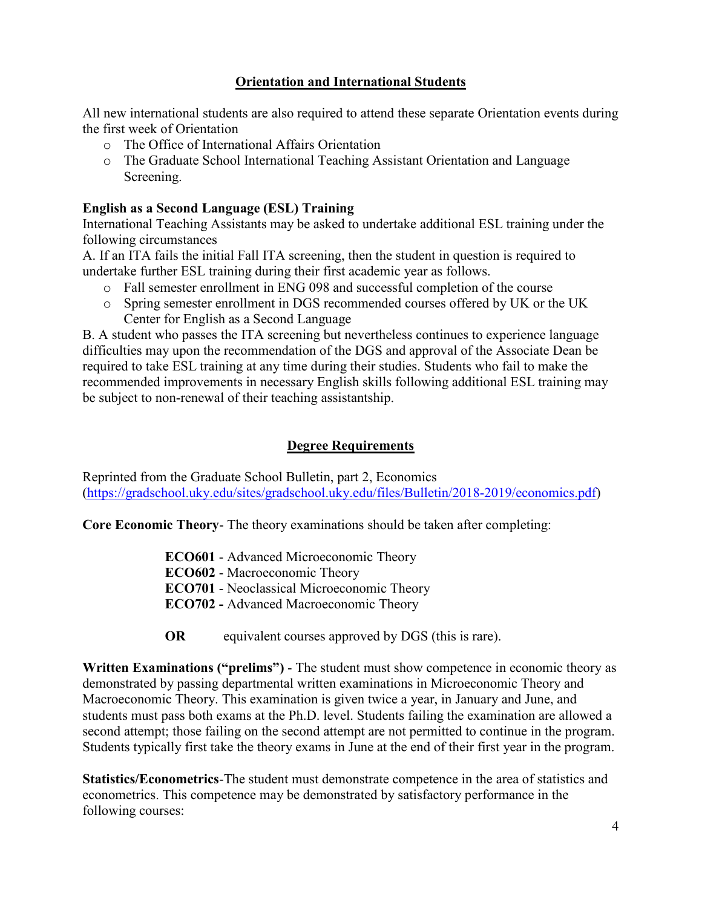# **Orientation and International Students**

<span id="page-7-0"></span>All new international students are also required to attend these separate Orientation events during the first week of Orientation

- o The Office of International Affairs Orientation
- o The Graduate School International Teaching Assistant Orientation and Language Screening.

#### **English as a Second Language (ESL) Training**

International Teaching Assistants may be asked to undertake additional ESL training under the following circumstances

A. If an ITA fails the initial Fall ITA screening, then the student in question is required to undertake further ESL training during their first academic year as follows.

- o Fall semester enrollment in ENG 098 and successful completion of the course
- o Spring semester enrollment in DGS recommended courses offered by UK or the UK Center for English as a Second Language

B. A student who passes the ITA screening but nevertheless continues to experience language difficulties may upon the recommendation of the DGS and approval of the Associate Dean be required to take ESL training at any time during their studies. Students who fail to make the recommended improvements in necessary English skills following additional ESL training may be subject to non-renewal of their teaching assistantship.

#### **Degree Requirements**

<span id="page-7-1"></span>Reprinted from the Graduate School Bulletin, part 2, Economics [\(https://gradschool.uky.edu/sites/gradschool.uky.edu/files/Bulletin/2018-2019/economics.pdf\)](https://gradschool.uky.edu/sites/gradschool.uky.edu/files/Bulletin/2018-2019/economics.pdf)

**Core Economic Theory**- The theory examinations should be taken after completing:

**ECO601** - Advanced Microeconomic Theory

**ECO602** - Macroeconomic Theory

**ECO701** - Neoclassical Microeconomic Theory

**ECO702 -** Advanced Macroeconomic Theory

**OR** equivalent courses approved by DGS (this is rare).

**Written Examinations ("prelims")** - The student must show competence in economic theory as demonstrated by passing departmental written examinations in Microeconomic Theory and Macroeconomic Theory. This examination is given twice a year, in January and June, and students must pass both exams at the Ph.D. level. Students failing the examination are allowed a second attempt; those failing on the second attempt are not permitted to continue in the program. Students typically first take the theory exams in June at the end of their first year in the program.

**Statistics/Econometrics**-The student must demonstrate competence in the area of statistics and econometrics. This competence may be demonstrated by satisfactory performance in the following courses: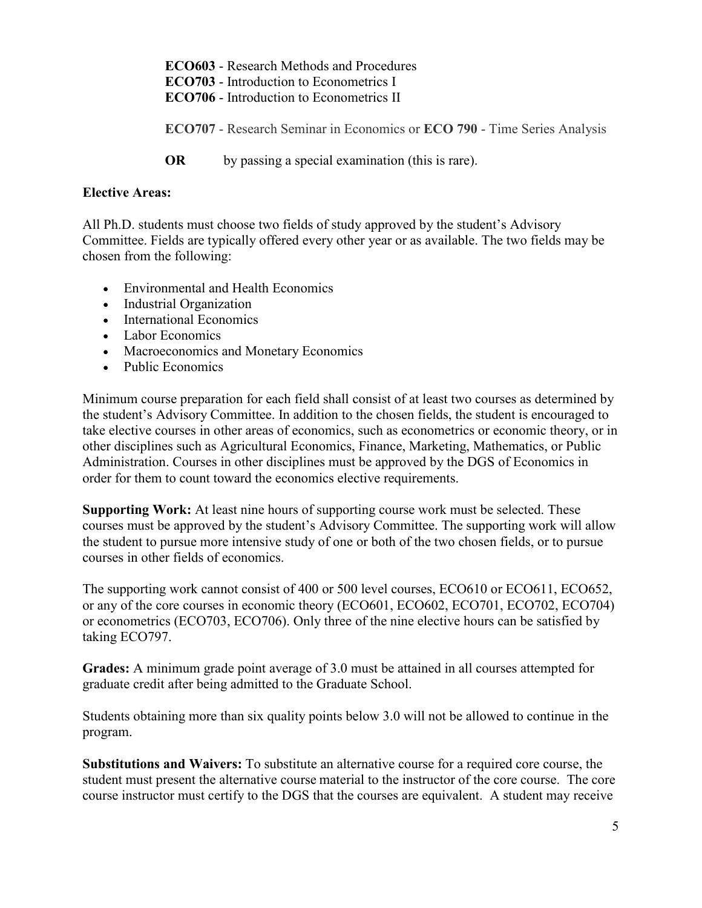**ECO603** - Research Methods and Procedures **ECO703** - Introduction to Econometrics I **ECO706** - Introduction to Econometrics II **ECO707** - Research Seminar in Economics or **ECO 790** - Time Series Analysis **OR** by passing a special examination (this is rare).

#### **Elective Areas:**

All Ph.D. students must choose two fields of study approved by the student's Advisory Committee. Fields are typically offered every other year or as available. The two fields may be chosen from the following:

- Environmental and Health Economics
- Industrial Organization
- International Economics
- Labor Economics
- Macroeconomics and Monetary Economics
- Public Economics

Minimum course preparation for each field shall consist of at least two courses as determined by the student's Advisory Committee. In addition to the chosen fields, the student is encouraged to take elective courses in other areas of economics, such as econometrics or economic theory, or in other disciplines such as Agricultural Economics, Finance, Marketing, Mathematics, or Public Administration. Courses in other disciplines must be approved by the DGS of Economics in order for them to count toward the economics elective requirements.

**Supporting Work:** At least nine hours of supporting course work must be selected. These courses must be approved by the student's Advisory Committee. The supporting work will allow the student to pursue more intensive study of one or both of the two chosen fields, or to pursue courses in other fields of economics.

The supporting work cannot consist of 400 or 500 level courses, ECO610 or ECO611, ECO652, or any of the core courses in economic theory (ECO601, ECO602, ECO701, ECO702, ECO704) or econometrics (ECO703, ECO706). Only three of the nine elective hours can be satisfied by taking ECO797.

**Grades:** A minimum grade point average of 3.0 must be attained in all courses attempted for graduate credit after being admitted to the Graduate School.

Students obtaining more than six quality points below 3.0 will not be allowed to continue in the program.

**Substitutions and Waivers:** To substitute an alternative course for a required core course, the student must present the alternative course material to the instructor of the core course. The core course instructor must certify to the DGS that the courses are equivalent. A student may receive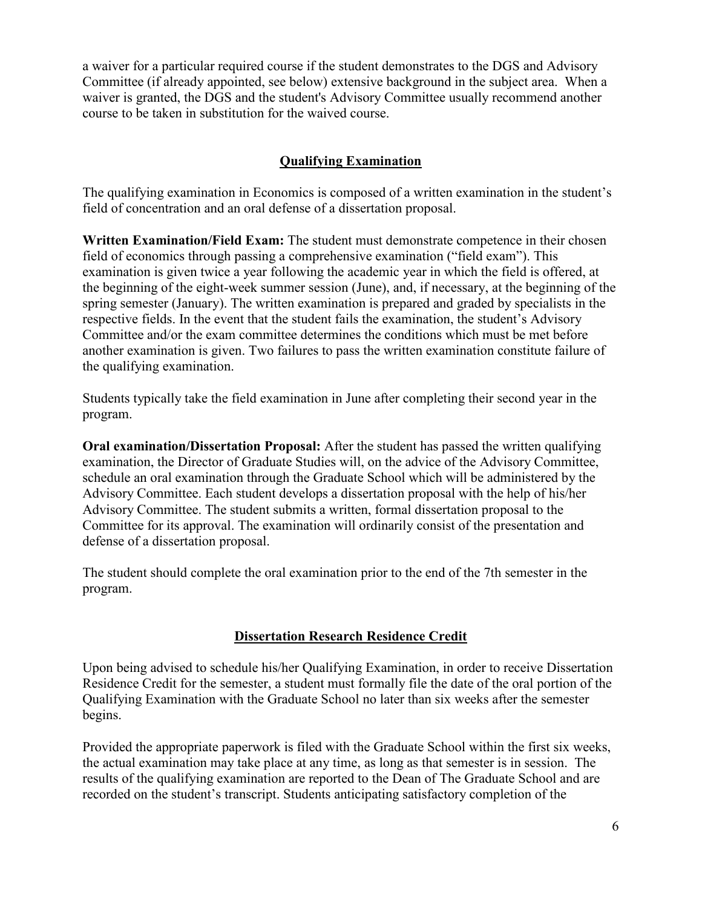a waiver for a particular required course if the student demonstrates to the DGS and Advisory Committee (if already appointed, see below) extensive background in the subject area. When a waiver is granted, the DGS and the student's Advisory Committee usually recommend another course to be taken in substitution for the waived course.

# **Qualifying Examination**

<span id="page-9-0"></span>The qualifying examination in Economics is composed of a written examination in the student's field of concentration and an oral defense of a dissertation proposal.

**Written Examination/Field Exam:** The student must demonstrate competence in their chosen field of economics through passing a comprehensive examination ("field exam"). This examination is given twice a year following the academic year in which the field is offered, at the beginning of the eight-week summer session (June), and, if necessary, at the beginning of the spring semester (January). The written examination is prepared and graded by specialists in the respective fields. In the event that the student fails the examination, the student's Advisory Committee and/or the exam committee determines the conditions which must be met before another examination is given. Two failures to pass the written examination constitute failure of the qualifying examination.

Students typically take the field examination in June after completing their second year in the program.

**Oral examination/Dissertation Proposal:** After the student has passed the written qualifying examination, the Director of Graduate Studies will, on the advice of the Advisory Committee, schedule an oral examination through the Graduate School which will be administered by the Advisory Committee. Each student develops a dissertation proposal with the help of his/her Advisory Committee. The student submits a written, formal dissertation proposal to the Committee for its approval. The examination will ordinarily consist of the presentation and defense of a dissertation proposal.

The student should complete the oral examination prior to the end of the 7th semester in the program.

# **Dissertation Research Residence Credit**

<span id="page-9-1"></span>Upon being advised to schedule his/her Qualifying Examination, in order to receive Dissertation Residence Credit for the semester, a student must formally file the date of the oral portion of the Qualifying Examination with the Graduate School no later than six weeks after the semester begins.

Provided the appropriate paperwork is filed with the Graduate School within the first six weeks, the actual examination may take place at any time, as long as that semester is in session. The results of the qualifying examination are reported to the Dean of The Graduate School and are recorded on the student's transcript. Students anticipating satisfactory completion of the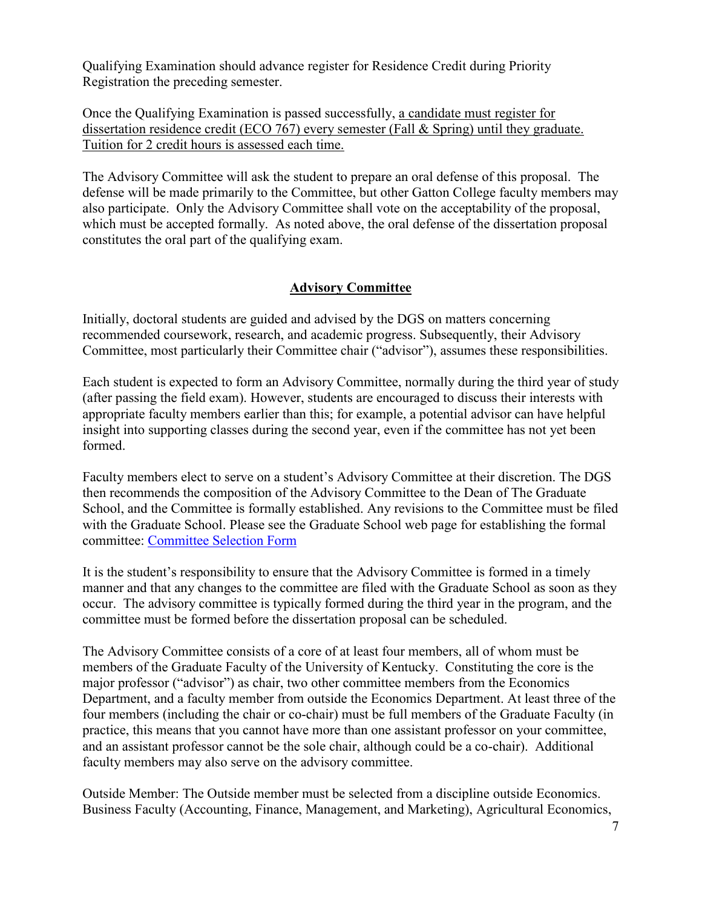Qualifying Examination should advance register for Residence Credit during Priority Registration the preceding semester.

Once the Qualifying Examination is passed successfully, a candidate must register for dissertation residence credit (ECO 767) every semester (Fall & Spring) until they graduate. Tuition for 2 credit hours is assessed each time.

The Advisory Committee will ask the student to prepare an oral defense of this proposal. The defense will be made primarily to the Committee, but other Gatton College faculty members may also participate. Only the Advisory Committee shall vote on the acceptability of the proposal, which must be accepted formally. As noted above, the oral defense of the dissertation proposal constitutes the oral part of the qualifying exam.

# **Advisory Committee**

<span id="page-10-0"></span>Initially, doctoral students are guided and advised by the DGS on matters concerning recommended coursework, research, and academic progress. Subsequently, their Advisory Committee, most particularly their Committee chair ("advisor"), assumes these responsibilities.

Each student is expected to form an Advisory Committee, normally during the third year of study (after passing the field exam). However, students are encouraged to discuss their interests with appropriate faculty members earlier than this; for example, a potential advisor can have helpful insight into supporting classes during the second year, even if the committee has not yet been formed.

Faculty members elect to serve on a student's Advisory Committee at their discretion. The DGS then recommends the composition of the Advisory Committee to the Dean of The Graduate School, and the Committee is formally established. Any revisions to the Committee must be filed with the Graduate School. Please see the Graduate School web page for establishing the formal committee: [Committee Selection Form](https://ris.uky.edu/cfdocs/gs/DoctoralCommittee/Selection_Screen.cfm)

It is the student's responsibility to ensure that the Advisory Committee is formed in a timely manner and that any changes to the committee are filed with the Graduate School as soon as they occur. The advisory committee is typically formed during the third year in the program, and the committee must be formed before the dissertation proposal can be scheduled.

The Advisory Committee consists of a core of at least four members, all of whom must be members of the Graduate Faculty of the University of Kentucky. Constituting the core is the major professor ("advisor") as chair, two other committee members from the Economics Department, and a faculty member from outside the Economics Department. At least three of the four members (including the chair or co-chair) must be full members of the Graduate Faculty (in practice, this means that you cannot have more than one assistant professor on your committee, and an assistant professor cannot be the sole chair, although could be a co-chair). Additional faculty members may also serve on the advisory committee.

Outside Member: The Outside member must be selected from a discipline outside Economics. Business Faculty (Accounting, Finance, Management, and Marketing), Agricultural Economics,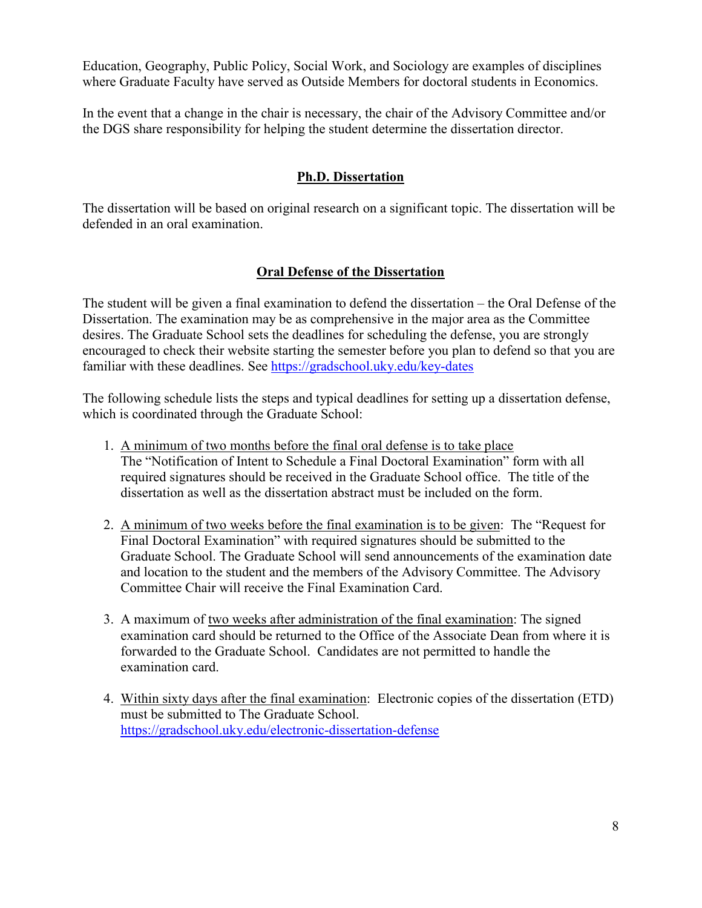Education, Geography, Public Policy, Social Work, and Sociology are examples of disciplines where Graduate Faculty have served as Outside Members for doctoral students in Economics.

In the event that a change in the chair is necessary, the chair of the Advisory Committee and/or the DGS share responsibility for helping the student determine the dissertation director.

# **Ph.D. Dissertation**

<span id="page-11-0"></span>The dissertation will be based on original research on a significant topic. The dissertation will be defended in an oral examination.

# **Oral Defense of the Dissertation**

<span id="page-11-1"></span>The student will be given a final examination to defend the dissertation – the Oral Defense of the Dissertation. The examination may be as comprehensive in the major area as the Committee desires. The Graduate School sets the deadlines for scheduling the defense, you are strongly encouraged to check their website starting the semester before you plan to defend so that you are familiar with these deadlines. See<https://gradschool.uky.edu/key-dates>

The following schedule lists the steps and typical deadlines for setting up a dissertation defense, which is coordinated through the Graduate School:

- 1. A minimum of two months before the final oral defense is to take place The "Notification of Intent to Schedule a Final Doctoral Examination" form with all required signatures should be received in the Graduate School office. The title of the dissertation as well as the dissertation abstract must be included on the form.
- 2. A minimum of two weeks before the final examination is to be given: The "Request for Final Doctoral Examination" with required signatures should be submitted to the Graduate School. The Graduate School will send announcements of the examination date and location to the student and the members of the Advisory Committee. The Advisory Committee Chair will receive the Final Examination Card.
- 3. A maximum of two weeks after administration of the final examination: The signed examination card should be returned to the Office of the Associate Dean from where it is forwarded to the Graduate School. Candidates are not permitted to handle the examination card.
- 4. Within sixty days after the final examination: Electronic copies of the dissertation (ETD) must be submitted to The Graduate School. <https://gradschool.uky.edu/electronic-dissertation-defense>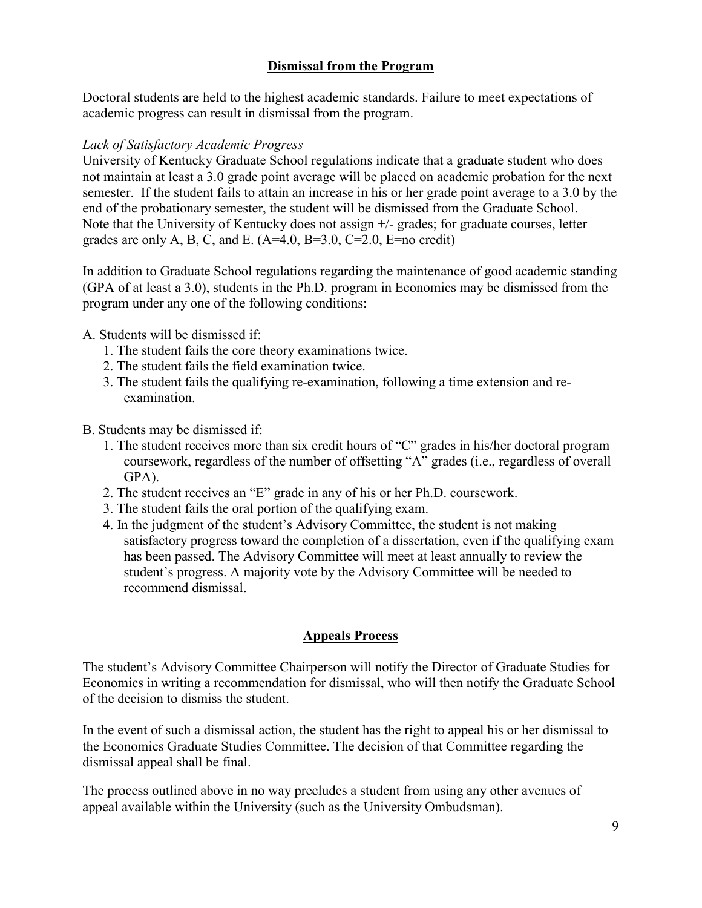# **Dismissal from the Program**

<span id="page-12-0"></span>Doctoral students are held to the highest academic standards. Failure to meet expectations of academic progress can result in dismissal from the program.

#### *Lack of Satisfactory Academic Progress*

University of Kentucky Graduate School regulations indicate that a graduate student who does not maintain at least a 3.0 grade point average will be placed on academic probation for the next semester. If the student fails to attain an increase in his or her grade point average to a 3.0 by the end of the probationary semester, the student will be dismissed from the Graduate School. Note that the University of Kentucky does not assign +/- grades; for graduate courses, letter grades are only A, B, C, and E.  $(A=4.0, B=3.0, C=2.0, E=no \text{ credit})$ 

In addition to Graduate School regulations regarding the maintenance of good academic standing (GPA of at least a 3.0), students in the Ph.D. program in Economics may be dismissed from the program under any one of the following conditions:

A. Students will be dismissed if:

- 1. The student fails the core theory examinations twice.
- 2. The student fails the field examination twice.
- 3. The student fails the qualifying re-examination, following a time extension and reexamination.

B. Students may be dismissed if:

- 1. The student receives more than six credit hours of "C" grades in his/her doctoral program coursework, regardless of the number of offsetting "A" grades (i.e., regardless of overall GPA).
- 2. The student receives an "E" grade in any of his or her Ph.D. coursework.
- 3. The student fails the oral portion of the qualifying exam.
- 4. In the judgment of the student's Advisory Committee, the student is not making satisfactory progress toward the completion of a dissertation, even if the qualifying exam has been passed. The Advisory Committee will meet at least annually to review the student's progress. A majority vote by the Advisory Committee will be needed to recommend dismissal.

# **Appeals Process**

<span id="page-12-1"></span>The student's Advisory Committee Chairperson will notify the Director of Graduate Studies for Economics in writing a recommendation for dismissal, who will then notify the Graduate School of the decision to dismiss the student.

In the event of such a dismissal action, the student has the right to appeal his or her dismissal to the Economics Graduate Studies Committee. The decision of that Committee regarding the dismissal appeal shall be final.

The process outlined above in no way precludes a student from using any other avenues of appeal available within the University (such as the University Ombudsman).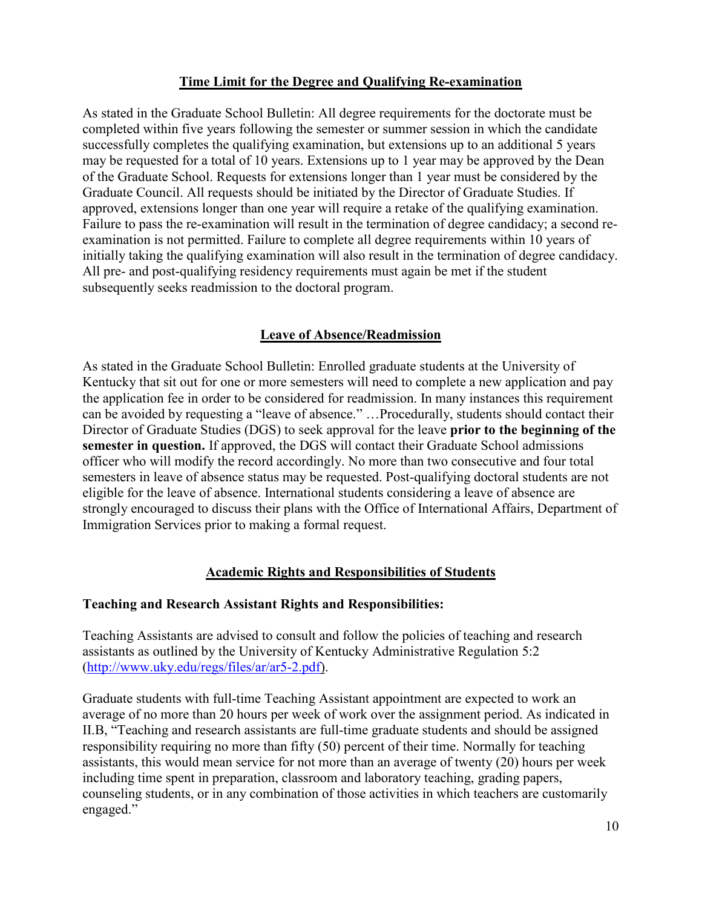# **Time Limit for the Degree and Qualifying Re-examination**

<span id="page-13-0"></span>As stated in the Graduate School Bulletin: All degree requirements for the doctorate must be completed within five years following the semester or summer session in which the candidate successfully completes the qualifying examination, but extensions up to an additional 5 years may be requested for a total of 10 years. Extensions up to 1 year may be approved by the Dean of the Graduate School. Requests for extensions longer than 1 year must be considered by the Graduate Council. All requests should be initiated by the Director of Graduate Studies. If approved, extensions longer than one year will require a retake of the qualifying examination. Failure to pass the re-examination will result in the termination of degree candidacy; a second reexamination is not permitted. Failure to complete all degree requirements within 10 years of initially taking the qualifying examination will also result in the termination of degree candidacy. All pre- and post-qualifying residency requirements must again be met if the student subsequently seeks readmission to the doctoral program.

# **Leave of Absence/Readmission**

<span id="page-13-1"></span>As stated in the Graduate School Bulletin: Enrolled graduate students at the University of Kentucky that sit out for one or more semesters will need to complete a new application and pay the application fee in order to be considered for readmission. In many instances this requirement can be avoided by requesting a "leave of absence." …Procedurally, students should contact their Director of Graduate Studies (DGS) to seek approval for the leave **prior to the beginning of the semester in question.** If approved, the DGS will contact their Graduate School admissions officer who will modify the record accordingly. No more than two consecutive and four total semesters in leave of absence status may be requested. Post-qualifying doctoral students are not eligible for the leave of absence. International students considering a leave of absence are strongly encouraged to discuss their plans with the Office of International Affairs, Department of Immigration Services prior to making a formal request.

# **Academic Rights and Responsibilities of Students**

#### <span id="page-13-2"></span>**Teaching and Research Assistant Rights and Responsibilities:**

Teaching Assistants are advised to consult and follow the policies of teaching and research assistants as outlined by the University of Kentucky Administrative Regulation 5:2 [\(http://www.uky.edu/regs/files/ar/ar5-2.pdf\)](http://www.uky.edu/regs/files/ar/ar5-2.pdf).

Graduate students with full-time Teaching Assistant appointment are expected to work an average of no more than 20 hours per week of work over the assignment period. As indicated in II.B, "Teaching and research assistants are full-time graduate students and should be assigned responsibility requiring no more than fifty (50) percent of their time. Normally for teaching assistants, this would mean service for not more than an average of twenty (20) hours per week including time spent in preparation, classroom and laboratory teaching, grading papers, counseling students, or in any combination of those activities in which teachers are customarily engaged."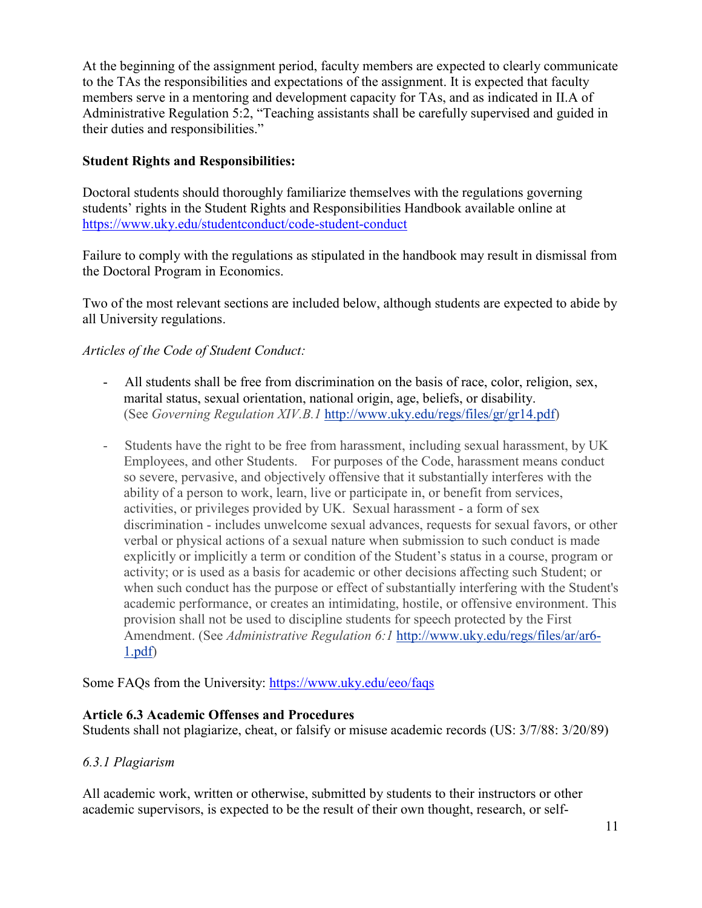At the beginning of the assignment period, faculty members are expected to clearly communicate to the TAs the responsibilities and expectations of the assignment. It is expected that faculty members serve in a mentoring and development capacity for TAs, and as indicated in II.A of Administrative Regulation 5:2, "Teaching assistants shall be carefully supervised and guided in their duties and responsibilities."

# **Student Rights and Responsibilities:**

Doctoral students should thoroughly familiarize themselves with the regulations governing students' rights in the Student Rights and Responsibilities Handbook available online at <https://www.uky.edu/studentconduct/code-student-conduct>

Failure to comply with the regulations as stipulated in the handbook may result in dismissal from the Doctoral Program in Economics.

Two of the most relevant sections are included below, although students are expected to abide by all University regulations.

# *Articles of the Code of Student Conduct:*

- All students shall be free from discrimination on the basis of race, color, religion, sex, marital status, sexual orientation, national origin, age, beliefs, or disability. (See *Governing Regulation XIV.B.1* [http://www.uky.edu/regs/files/gr/gr14.pdf\)](http://www.uky.edu/regs/files/gr/gr14.pdf)
- Students have the right to be free from harassment, including sexual harassment, by UK Employees, and other Students. For purposes of the Code, harassment means conduct so severe, pervasive, and objectively offensive that it substantially interferes with the ability of a person to work, learn, live or participate in, or benefit from services, activities, or privileges provided by UK. Sexual harassment - a form of sex discrimination - includes unwelcome sexual advances, requests for sexual favors, or other verbal or physical actions of a sexual nature when submission to such conduct is made explicitly or implicitly a term or condition of the Student's status in a course, program or activity; or is used as a basis for academic or other decisions affecting such Student; or when such conduct has the purpose or effect of substantially interfering with the Student's academic performance, or creates an intimidating, hostile, or offensive environment. This provision shall not be used to discipline students for speech protected by the First Amendment. (See *Administrative Regulation 6:1* [http://www.uky.edu/regs/files/ar/ar6-](http://www.uky.edu/regs/files/ar/ar6-1.pdf) [1.pdf\)](http://www.uky.edu/regs/files/ar/ar6-1.pdf)

Some FAQs from the University:<https://www.uky.edu/eeo/faqs>

# **Article 6.3 Academic Offenses and Procedures**

Students shall not plagiarize, cheat, or falsify or misuse academic records (US: 3/7/88: 3/20/89)

# *6.3.1 Plagiarism*

All academic work, written or otherwise, submitted by students to their instructors or other academic supervisors, is expected to be the result of their own thought, research, or self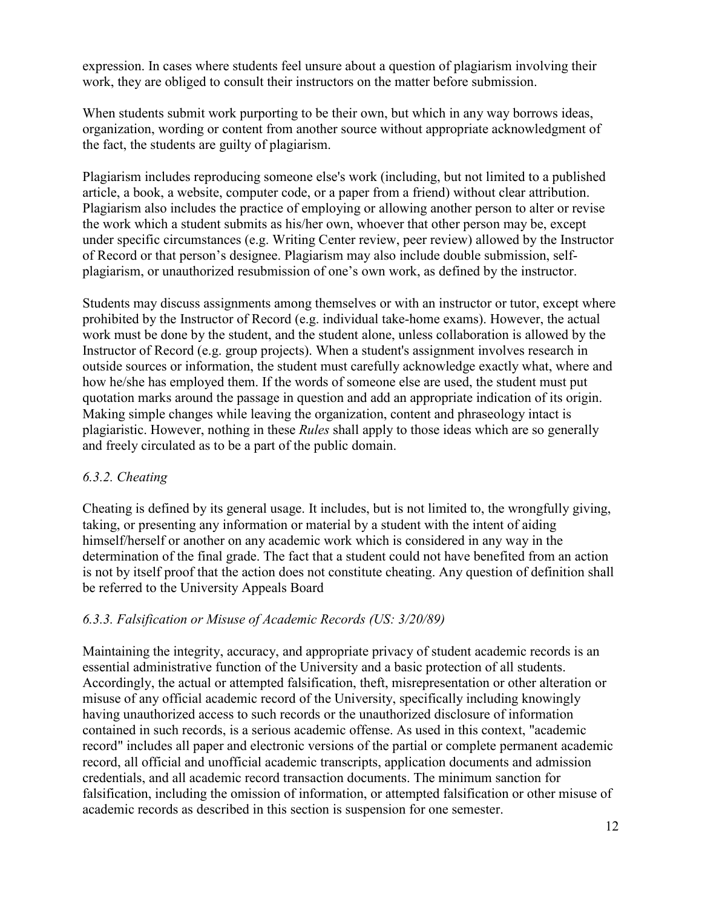expression. In cases where students feel unsure about a question of plagiarism involving their work, they are obliged to consult their instructors on the matter before submission.

When students submit work purporting to be their own, but which in any way borrows ideas, organization, wording or content from another source without appropriate acknowledgment of the fact, the students are guilty of plagiarism.

Plagiarism includes reproducing someone else's work (including, but not limited to a published article, a book, a website, computer code, or a paper from a friend) without clear attribution. Plagiarism also includes the practice of employing or allowing another person to alter or revise the work which a student submits as his/her own, whoever that other person may be, except under specific circumstances (e.g. Writing Center review, peer review) allowed by the Instructor of Record or that person's designee. Plagiarism may also include double submission, selfplagiarism, or unauthorized resubmission of one's own work, as defined by the instructor.

Students may discuss assignments among themselves or with an instructor or tutor, except where prohibited by the Instructor of Record (e.g. individual take-home exams). However, the actual work must be done by the student, and the student alone, unless collaboration is allowed by the Instructor of Record (e.g. group projects). When a student's assignment involves research in outside sources or information, the student must carefully acknowledge exactly what, where and how he/she has employed them. If the words of someone else are used, the student must put quotation marks around the passage in question and add an appropriate indication of its origin. Making simple changes while leaving the organization, content and phraseology intact is plagiaristic. However, nothing in these *Rules* shall apply to those ideas which are so generally and freely circulated as to be a part of the public domain.

# *6.3.2. Cheating*

Cheating is defined by its general usage. It includes, but is not limited to, the wrongfully giving, taking, or presenting any information or material by a student with the intent of aiding himself/herself or another on any academic work which is considered in any way in the determination of the final grade. The fact that a student could not have benefited from an action is not by itself proof that the action does not constitute cheating. Any question of definition shall be referred to the University Appeals Board

# *6.3.3. Falsification or Misuse of Academic Records (US: 3/20/89)*

Maintaining the integrity, accuracy, and appropriate privacy of student academic records is an essential administrative function of the University and a basic protection of all students. Accordingly, the actual or attempted falsification, theft, misrepresentation or other alteration or misuse of any official academic record of the University, specifically including knowingly having unauthorized access to such records or the unauthorized disclosure of information contained in such records, is a serious academic offense. As used in this context, "academic record" includes all paper and electronic versions of the partial or complete permanent academic record, all official and unofficial academic transcripts, application documents and admission credentials, and all academic record transaction documents. The minimum sanction for falsification, including the omission of information, or attempted falsification or other misuse of academic records as described in this section is suspension for one semester.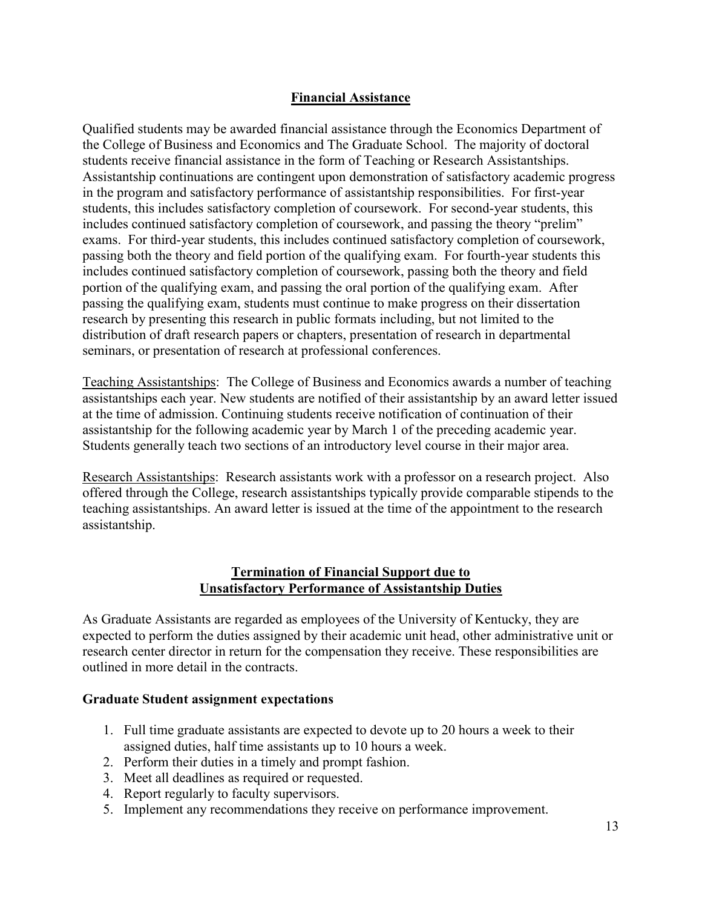# **Financial Assistance**

<span id="page-16-0"></span>Qualified students may be awarded financial assistance through the Economics Department of the College of Business and Economics and The Graduate School. The majority of doctoral students receive financial assistance in the form of Teaching or Research Assistantships. Assistantship continuations are contingent upon demonstration of satisfactory academic progress in the program and satisfactory performance of assistantship responsibilities. For first-year students, this includes satisfactory completion of coursework. For second-year students, this includes continued satisfactory completion of coursework, and passing the theory "prelim" exams. For third-year students, this includes continued satisfactory completion of coursework, passing both the theory and field portion of the qualifying exam. For fourth-year students this includes continued satisfactory completion of coursework, passing both the theory and field portion of the qualifying exam, and passing the oral portion of the qualifying exam. After passing the qualifying exam, students must continue to make progress on their dissertation research by presenting this research in public formats including, but not limited to the distribution of draft research papers or chapters, presentation of research in departmental seminars, or presentation of research at professional conferences.

Teaching Assistantships: The College of Business and Economics awards a number of teaching assistantships each year. New students are notified of their assistantship by an award letter issued at the time of admission. Continuing students receive notification of continuation of their assistantship for the following academic year by March 1 of the preceding academic year. Students generally teach two sections of an introductory level course in their major area.

Research Assistantships: Research assistants work with a professor on a research project. Also offered through the College, research assistantships typically provide comparable stipends to the teaching assistantships. An award letter is issued at the time of the appointment to the research assistantship.

#### **Termination of Financial Support due to Unsatisfactory Performance of Assistantship Duties**

<span id="page-16-2"></span><span id="page-16-1"></span>As Graduate Assistants are regarded as employees of the University of Kentucky, they are expected to perform the duties assigned by their academic unit head, other administrative unit or research center director in return for the compensation they receive. These responsibilities are outlined in more detail in the contracts.

# **Graduate Student assignment expectations**

- 1. Full time graduate assistants are expected to devote up to 20 hours a week to their assigned duties, half time assistants up to 10 hours a week.
- 2. Perform their duties in a timely and prompt fashion.
- 3. Meet all deadlines as required or requested.
- 4. Report regularly to faculty supervisors.
- 5. Implement any recommendations they receive on performance improvement.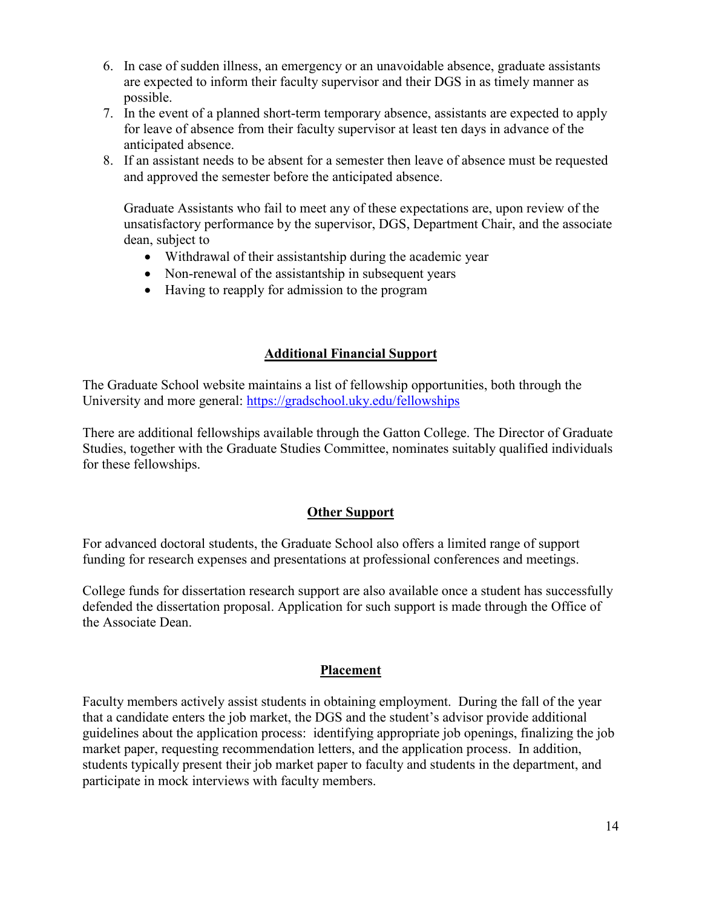- 6. In case of sudden illness, an emergency or an unavoidable absence, graduate assistants are expected to inform their faculty supervisor and their DGS in as timely manner as possible.
- 7. In the event of a planned short-term temporary absence, assistants are expected to apply for leave of absence from their faculty supervisor at least ten days in advance of the anticipated absence.
- 8. If an assistant needs to be absent for a semester then leave of absence must be requested and approved the semester before the anticipated absence.

Graduate Assistants who fail to meet any of these expectations are, upon review of the unsatisfactory performance by the supervisor, DGS, Department Chair, and the associate dean, subject to

- Withdrawal of their assistantship during the academic year
- Non-renewal of the assistantship in subsequent years
- Having to reapply for admission to the program

# **Additional Financial Support**

<span id="page-17-0"></span>The Graduate School website maintains a list of fellowship opportunities, both through the University and more general:<https://gradschool.uky.edu/fellowships>

There are additional fellowships available through the Gatton College. The Director of Graduate Studies, together with the Graduate Studies Committee, nominates suitably qualified individuals for these fellowships.

# **Other Support**

For advanced doctoral students, the Graduate School also offers a limited range of support funding for research expenses and presentations at professional conferences and meetings.

College funds for dissertation research support are also available once a student has successfully defended the dissertation proposal. Application for such support is made through the Office of the Associate Dean.

# **Placement**

<span id="page-17-1"></span>Faculty members actively assist students in obtaining employment. During the fall of the year that a candidate enters the job market, the DGS and the student's advisor provide additional guidelines about the application process: identifying appropriate job openings, finalizing the job market paper, requesting recommendation letters, and the application process. In addition, students typically present their job market paper to faculty and students in the department, and participate in mock interviews with faculty members.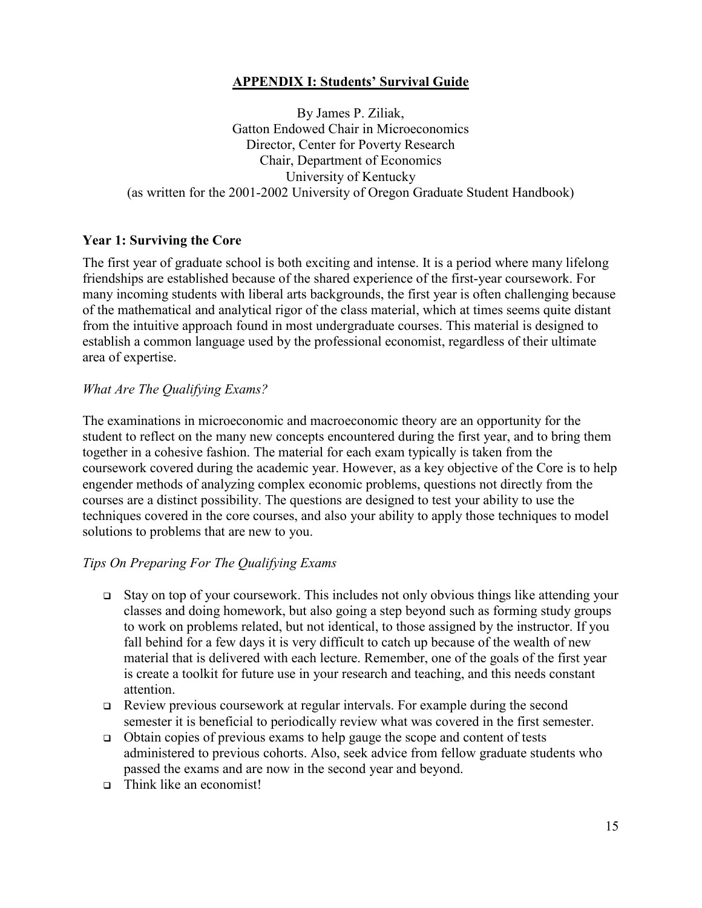# **APPENDIX I: Students' Survival Guide**

<span id="page-18-0"></span>By James P. Ziliak, Gatton Endowed Chair in Microeconomics Director, Center for Poverty Research Chair, Department of Economics University of Kentucky (as written for the 2001-2002 University of Oregon Graduate Student Handbook)

# **Year 1: Surviving the Core**

The first year of graduate school is both exciting and intense. It is a period where many lifelong friendships are established because of the shared experience of the first-year coursework. For many incoming students with liberal arts backgrounds, the first year is often challenging because of the mathematical and analytical rigor of the class material, which at times seems quite distant from the intuitive approach found in most undergraduate courses. This material is designed to establish a common language used by the professional economist, regardless of their ultimate area of expertise.

#### *What Are The Qualifying Exams?*

The examinations in microeconomic and macroeconomic theory are an opportunity for the student to reflect on the many new concepts encountered during the first year, and to bring them together in a cohesive fashion. The material for each exam typically is taken from the coursework covered during the academic year. However, as a key objective of the Core is to help engender methods of analyzing complex economic problems, questions not directly from the courses are a distinct possibility. The questions are designed to test your ability to use the techniques covered in the core courses, and also your ability to apply those techniques to model solutions to problems that are new to you.

#### *Tips On Preparing For The Qualifying Exams*

- Stay on top of your coursework. This includes not only obvious things like attending your classes and doing homework, but also going a step beyond such as forming study groups to work on problems related, but not identical, to those assigned by the instructor. If you fall behind for a few days it is very difficult to catch up because of the wealth of new material that is delivered with each lecture. Remember, one of the goals of the first year is create a toolkit for future use in your research and teaching, and this needs constant attention.
- Review previous coursework at regular intervals. For example during the second semester it is beneficial to periodically review what was covered in the first semester.
- $\Box$  Obtain copies of previous exams to help gauge the scope and content of tests administered to previous cohorts. Also, seek advice from fellow graduate students who passed the exams and are now in the second year and beyond.
- Think like an economist!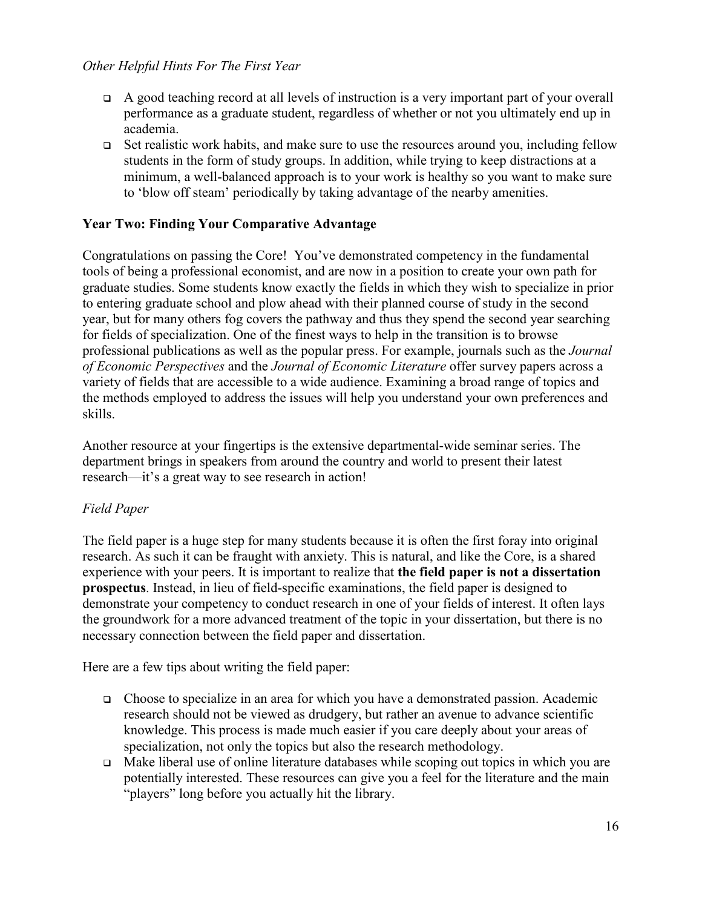#### *Other Helpful Hints For The First Year*

- $\Box$  A good teaching record at all levels of instruction is a very important part of your overall performance as a graduate student, regardless of whether or not you ultimately end up in academia.
- Set realistic work habits, and make sure to use the resources around you, including fellow students in the form of study groups. In addition, while trying to keep distractions at a minimum, a well-balanced approach is to your work is healthy so you want to make sure to 'blow off steam' periodically by taking advantage of the nearby amenities.

#### **Year Two: Finding Your Comparative Advantage**

Congratulations on passing the Core! You've demonstrated competency in the fundamental tools of being a professional economist, and are now in a position to create your own path for graduate studies. Some students know exactly the fields in which they wish to specialize in prior to entering graduate school and plow ahead with their planned course of study in the second year, but for many others fog covers the pathway and thus they spend the second year searching for fields of specialization. One of the finest ways to help in the transition is to browse professional publications as well as the popular press. For example, journals such as the *Journal of Economic Perspectives* and the *Journal of Economic Literature* offer survey papers across a variety of fields that are accessible to a wide audience. Examining a broad range of topics and the methods employed to address the issues will help you understand your own preferences and skills.

Another resource at your fingertips is the extensive departmental-wide seminar series. The department brings in speakers from around the country and world to present their latest research—it's a great way to see research in action!

# *Field Paper*

The field paper is a huge step for many students because it is often the first foray into original research. As such it can be fraught with anxiety. This is natural, and like the Core, is a shared experience with your peers. It is important to realize that **the field paper is not a dissertation prospectus**. Instead, in lieu of field-specific examinations, the field paper is designed to demonstrate your competency to conduct research in one of your fields of interest. It often lays the groundwork for a more advanced treatment of the topic in your dissertation, but there is no necessary connection between the field paper and dissertation.

Here are a few tips about writing the field paper:

- Choose to specialize in an area for which you have a demonstrated passion. Academic research should not be viewed as drudgery, but rather an avenue to advance scientific knowledge. This process is made much easier if you care deeply about your areas of specialization, not only the topics but also the research methodology.
- $\Box$  Make liberal use of online literature databases while scoping out topics in which you are potentially interested. These resources can give you a feel for the literature and the main "players" long before you actually hit the library.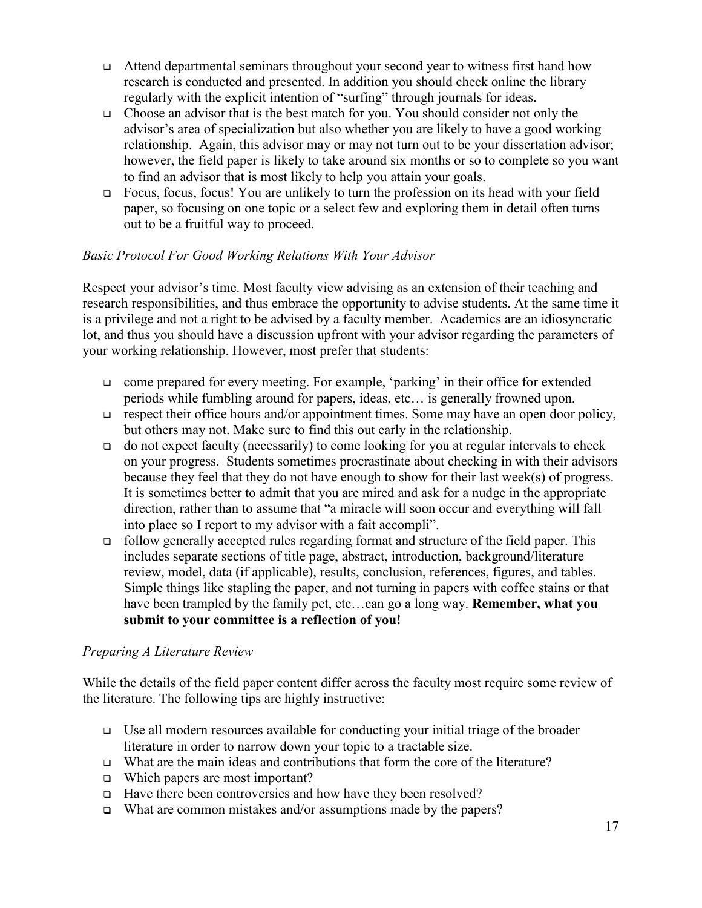- Attend departmental seminars throughout your second year to witness first hand how research is conducted and presented. In addition you should check online the library regularly with the explicit intention of "surfing" through journals for ideas.
- $\Box$  Choose an advisor that is the best match for you. You should consider not only the advisor's area of specialization but also whether you are likely to have a good working relationship. Again, this advisor may or may not turn out to be your dissertation advisor; however, the field paper is likely to take around six months or so to complete so you want to find an advisor that is most likely to help you attain your goals.
- Focus, focus, focus! You are unlikely to turn the profession on its head with your field paper, so focusing on one topic or a select few and exploring them in detail often turns out to be a fruitful way to proceed.

# *Basic Protocol For Good Working Relations With Your Advisor*

Respect your advisor's time. Most faculty view advising as an extension of their teaching and research responsibilities, and thus embrace the opportunity to advise students. At the same time it is a privilege and not a right to be advised by a faculty member. Academics are an idiosyncratic lot, and thus you should have a discussion upfront with your advisor regarding the parameters of your working relationship. However, most prefer that students:

- □ come prepared for every meeting. For example, 'parking' in their office for extended periods while fumbling around for papers, ideas, etc… is generally frowned upon.
- $\Box$  respect their office hours and/or appointment times. Some may have an open door policy, but others may not. Make sure to find this out early in the relationship.
- $\Box$  do not expect faculty (necessarily) to come looking for you at regular intervals to check on your progress. Students sometimes procrastinate about checking in with their advisors because they feel that they do not have enough to show for their last week(s) of progress. It is sometimes better to admit that you are mired and ask for a nudge in the appropriate direction, rather than to assume that "a miracle will soon occur and everything will fall into place so I report to my advisor with a fait accompli".
- follow generally accepted rules regarding format and structure of the field paper. This includes separate sections of title page, abstract, introduction, background/literature review, model, data (if applicable), results, conclusion, references, figures, and tables. Simple things like stapling the paper, and not turning in papers with coffee stains or that have been trampled by the family pet, etc…can go a long way. **Remember, what you submit to your committee is a reflection of you!**

# *Preparing A Literature Review*

While the details of the field paper content differ across the faculty most require some review of the literature. The following tips are highly instructive:

- $\Box$  Use all modern resources available for conducting your initial triage of the broader literature in order to narrow down your topic to a tractable size.
- What are the main ideas and contributions that form the core of the literature?
- □ Which papers are most important?
- □ Have there been controversies and how have they been resolved?
- $\Box$  What are common mistakes and/or assumptions made by the papers?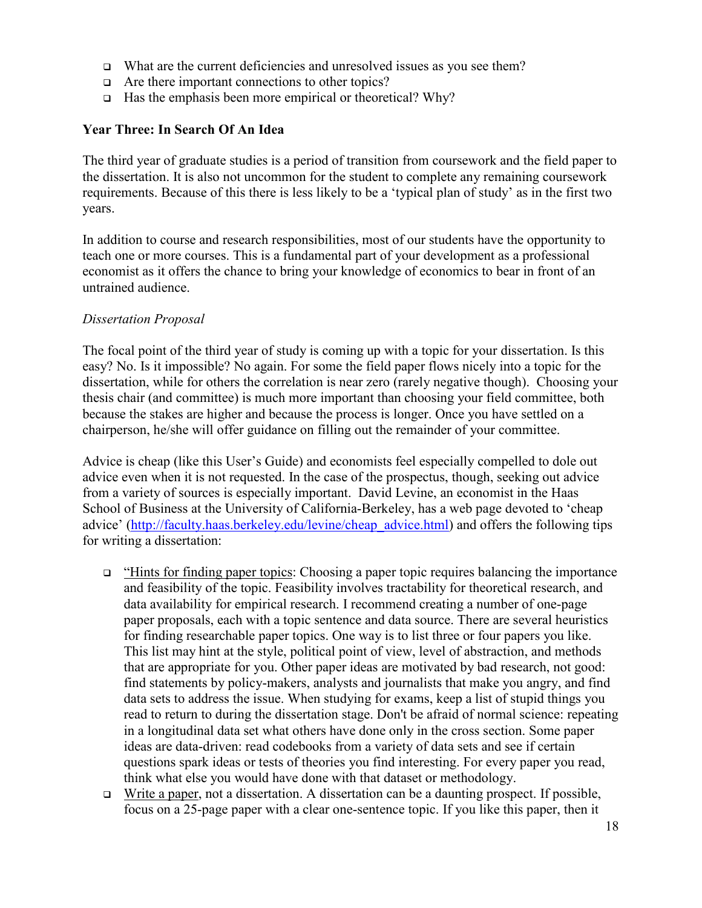- $\Box$  What are the current deficiencies and unresolved issues as you see them?
- $\Box$  Are there important connections to other topics?
- $\Box$  Has the emphasis been more empirical or theoretical? Why?

#### **Year Three: In Search Of An Idea**

The third year of graduate studies is a period of transition from coursework and the field paper to the dissertation. It is also not uncommon for the student to complete any remaining coursework requirements. Because of this there is less likely to be a 'typical plan of study' as in the first two years.

In addition to course and research responsibilities, most of our students have the opportunity to teach one or more courses. This is a fundamental part of your development as a professional economist as it offers the chance to bring your knowledge of economics to bear in front of an untrained audience.

#### *Dissertation Proposal*

The focal point of the third year of study is coming up with a topic for your dissertation. Is this easy? No. Is it impossible? No again. For some the field paper flows nicely into a topic for the dissertation, while for others the correlation is near zero (rarely negative though). Choosing your thesis chair (and committee) is much more important than choosing your field committee, both because the stakes are higher and because the process is longer. Once you have settled on a chairperson, he/she will offer guidance on filling out the remainder of your committee.

Advice is cheap (like this User's Guide) and economists feel especially compelled to dole out advice even when it is not requested. In the case of the prospectus, though, seeking out advice from a variety of sources is especially important. David Levine, an economist in the Haas School of Business at the University of California-Berkeley, has a web page devoted to 'cheap advice' [\(http://faculty.haas.berkeley.edu/levine/cheap\\_advice.html\)](http://faculty.haas.berkeley.edu/levine/cheap_advice.html) and offers the following tips for writing a dissertation:

- "Hints for finding paper topics: Choosing a paper topic requires balancing the importance and feasibility of the topic. Feasibility involves tractability for theoretical research, and data availability for empirical research. I recommend creating a number of one-page paper proposals, each with a topic sentence and data source. There are several heuristics for finding researchable paper topics. One way is to list three or four papers you like. This list may hint at the style, political point of view, level of abstraction, and methods that are appropriate for you. Other paper ideas are motivated by bad research, not good: find statements by policy-makers, analysts and journalists that make you angry, and find data sets to address the issue. When studying for exams, keep a list of stupid things you read to return to during the dissertation stage. Don't be afraid of normal science: repeating in a longitudinal data set what others have done only in the cross section. Some paper ideas are data-driven: read codebooks from a variety of data sets and see if certain questions spark ideas or tests of theories you find interesting. For every paper you read, think what else you would have done with that dataset or methodology.
- $\Box$  Write a paper, not a dissertation. A dissertation can be a daunting prospect. If possible, focus on a 25-page paper with a clear one-sentence topic. If you like this paper, then it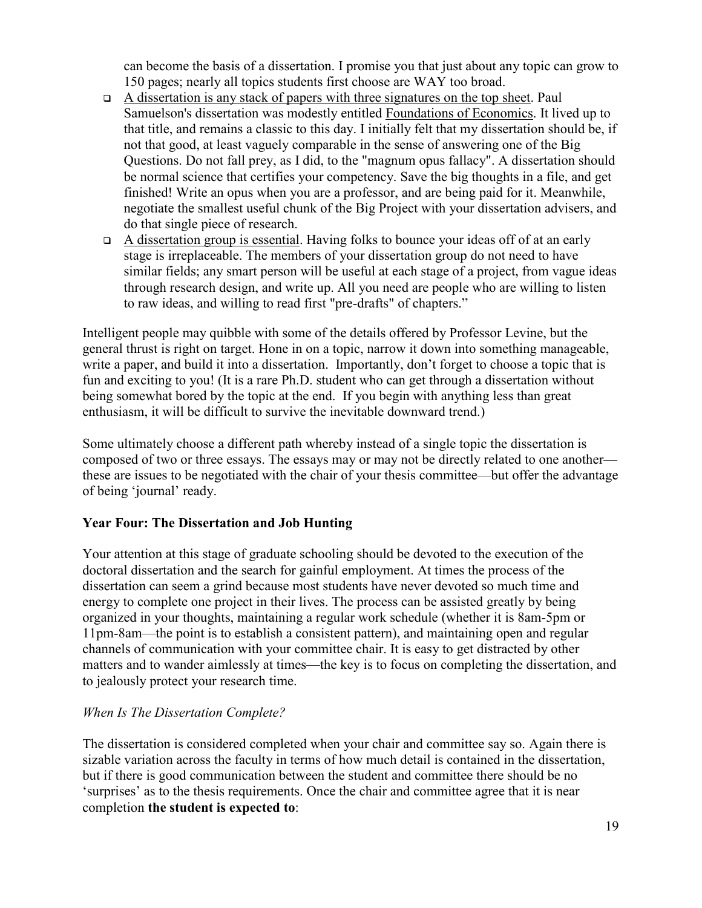can become the basis of a dissertation. I promise you that just about any topic can grow to 150 pages; nearly all topics students first choose are WAY too broad.

- $\Box$  A dissertation is any stack of papers with three signatures on the top sheet. Paul Samuelson's dissertation was modestly entitled Foundations of Economics. It lived up to that title, and remains a classic to this day. I initially felt that my dissertation should be, if not that good, at least vaguely comparable in the sense of answering one of the Big Questions. Do not fall prey, as I did, to the "magnum opus fallacy". A dissertation should be normal science that certifies your competency. Save the big thoughts in a file, and get finished! Write an opus when you are a professor, and are being paid for it. Meanwhile, negotiate the smallest useful chunk of the Big Project with your dissertation advisers, and do that single piece of research.
- $\Box$  A dissertation group is essential. Having folks to bounce your ideas off of at an early stage is irreplaceable. The members of your dissertation group do not need to have similar fields; any smart person will be useful at each stage of a project, from vague ideas through research design, and write up. All you need are people who are willing to listen to raw ideas, and willing to read first "pre-drafts" of chapters."

Intelligent people may quibble with some of the details offered by Professor Levine, but the general thrust is right on target. Hone in on a topic, narrow it down into something manageable, write a paper, and build it into a dissertation. Importantly, don't forget to choose a topic that is fun and exciting to you! (It is a rare Ph.D. student who can get through a dissertation without being somewhat bored by the topic at the end. If you begin with anything less than great enthusiasm, it will be difficult to survive the inevitable downward trend.)

Some ultimately choose a different path whereby instead of a single topic the dissertation is composed of two or three essays. The essays may or may not be directly related to one another these are issues to be negotiated with the chair of your thesis committee—but offer the advantage of being 'journal' ready.

# **Year Four: The Dissertation and Job Hunting**

Your attention at this stage of graduate schooling should be devoted to the execution of the doctoral dissertation and the search for gainful employment. At times the process of the dissertation can seem a grind because most students have never devoted so much time and energy to complete one project in their lives. The process can be assisted greatly by being organized in your thoughts, maintaining a regular work schedule (whether it is 8am-5pm or 11pm-8am—the point is to establish a consistent pattern), and maintaining open and regular channels of communication with your committee chair. It is easy to get distracted by other matters and to wander aimlessly at times—the key is to focus on completing the dissertation, and to jealously protect your research time.

# *When Is The Dissertation Complete?*

The dissertation is considered completed when your chair and committee say so. Again there is sizable variation across the faculty in terms of how much detail is contained in the dissertation, but if there is good communication between the student and committee there should be no 'surprises' as to the thesis requirements. Once the chair and committee agree that it is near completion **the student is expected to**: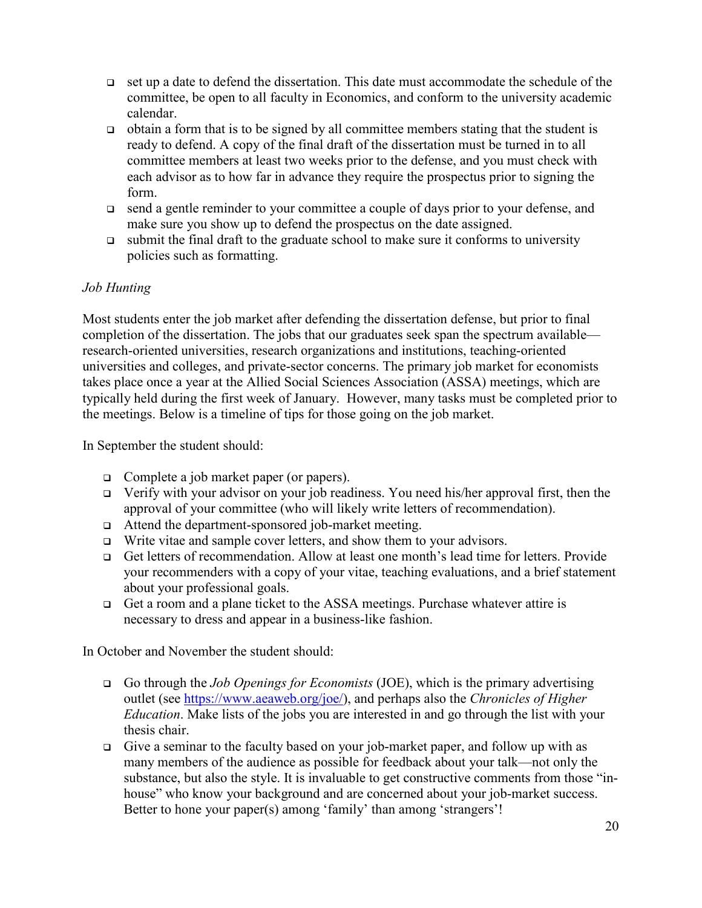- $\Box$  set up a date to defend the dissertation. This date must accommodate the schedule of the committee, be open to all faculty in Economics, and conform to the university academic calendar.
- $\Box$  obtain a form that is to be signed by all committee members stating that the student is ready to defend. A copy of the final draft of the dissertation must be turned in to all committee members at least two weeks prior to the defense, and you must check with each advisor as to how far in advance they require the prospectus prior to signing the form.
- □ send a gentle reminder to your committee a couple of days prior to your defense, and make sure you show up to defend the prospectus on the date assigned.
- $\Box$  submit the final draft to the graduate school to make sure it conforms to university policies such as formatting.

# *Job Hunting*

Most students enter the job market after defending the dissertation defense, but prior to final completion of the dissertation. The jobs that our graduates seek span the spectrum available research-oriented universities, research organizations and institutions, teaching-oriented universities and colleges, and private-sector concerns. The primary job market for economists takes place once a year at the Allied Social Sciences Association (ASSA) meetings, which are typically held during the first week of January. However, many tasks must be completed prior to the meetings. Below is a timeline of tips for those going on the job market.

In September the student should:

- □ Complete a job market paper (or papers).
- $\Box$  Verify with your advisor on your job readiness. You need his/her approval first, then the approval of your committee (who will likely write letters of recommendation).
- □ Attend the department-sponsored job-market meeting.
- $\Box$  Write vitae and sample cover letters, and show them to your advisors.
- Get letters of recommendation. Allow at least one month's lead time for letters. Provide your recommenders with a copy of your vitae, teaching evaluations, and a brief statement about your professional goals.
- □ Get a room and a plane ticket to the ASSA meetings. Purchase whatever attire is necessary to dress and appear in a business-like fashion.

In October and November the student should:

- Go through the *Job Openings for Economists* (JOE), which is the primary advertising outlet (see [https://www.aeaweb.org/joe/\)](https://www.aeaweb.org/joe/), and perhaps also the *Chronicles of Higher Education*. Make lists of the jobs you are interested in and go through the list with your thesis chair.
- Give a seminar to the faculty based on your job-market paper, and follow up with as many members of the audience as possible for feedback about your talk—not only the substance, but also the style. It is invaluable to get constructive comments from those "inhouse" who know your background and are concerned about your job-market success. Better to hone your paper(s) among 'family' than among 'strangers'!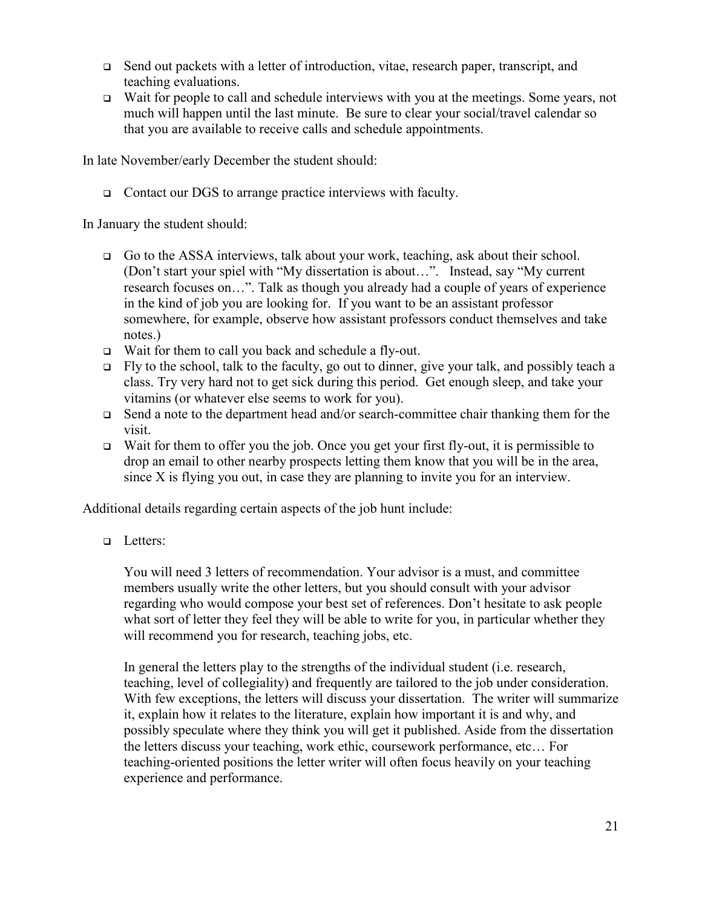- $\Box$  Send out packets with a letter of introduction, vitae, research paper, transcript, and teaching evaluations.
- Wait for people to call and schedule interviews with you at the meetings. Some years, not much will happen until the last minute. Be sure to clear your social/travel calendar so that you are available to receive calls and schedule appointments.

In late November/early December the student should:

□ Contact our DGS to arrange practice interviews with faculty.

In January the student should:

- Go to the ASSA interviews, talk about your work, teaching, ask about their school. (Don't start your spiel with "My dissertation is about…". Instead, say "My current research focuses on…". Talk as though you already had a couple of years of experience in the kind of job you are looking for. If you want to be an assistant professor somewhere, for example, observe how assistant professors conduct themselves and take notes.)
- Wait for them to call you back and schedule a fly-out.
- $\Box$  Fly to the school, talk to the faculty, go out to dinner, give your talk, and possibly teach a class. Try very hard not to get sick during this period. Get enough sleep, and take your vitamins (or whatever else seems to work for you).
- $\Box$  Send a note to the department head and/or search-committee chair thanking them for the visit.
- $\Box$  Wait for them to offer you the job. Once you get your first fly-out, it is permissible to drop an email to other nearby prospects letting them know that you will be in the area, since X is flying you out, in case they are planning to invite you for an interview.

Additional details regarding certain aspects of the job hunt include:

**Q** Letters:

You will need 3 letters of recommendation. Your advisor is a must, and committee members usually write the other letters, but you should consult with your advisor regarding who would compose your best set of references. Don't hesitate to ask people what sort of letter they feel they will be able to write for you, in particular whether they will recommend you for research, teaching jobs, etc.

In general the letters play to the strengths of the individual student (i.e. research, teaching, level of collegiality) and frequently are tailored to the job under consideration. With few exceptions, the letters will discuss your dissertation. The writer will summarize it, explain how it relates to the literature, explain how important it is and why, and possibly speculate where they think you will get it published. Aside from the dissertation the letters discuss your teaching, work ethic, coursework performance, etc… For teaching-oriented positions the letter writer will often focus heavily on your teaching experience and performance.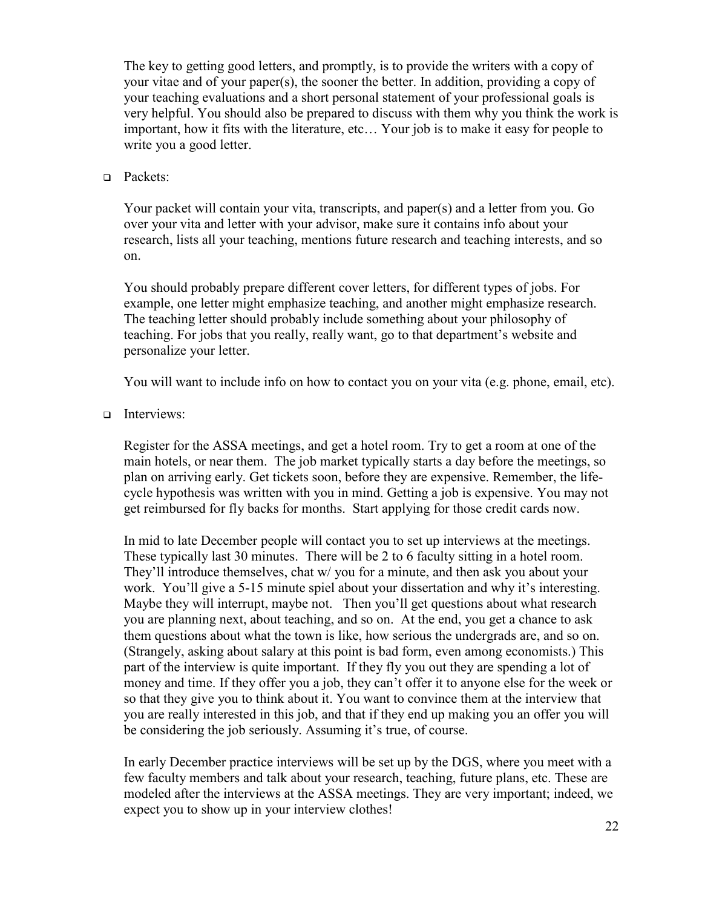The key to getting good letters, and promptly, is to provide the writers with a copy of your vitae and of your paper(s), the sooner the better. In addition, providing a copy of your teaching evaluations and a short personal statement of your professional goals is very helpful. You should also be prepared to discuss with them why you think the work is important, how it fits with the literature, etc… Your job is to make it easy for people to write you a good letter.

#### □ Packets:

Your packet will contain your vita, transcripts, and paper(s) and a letter from you. Go over your vita and letter with your advisor, make sure it contains info about your research, lists all your teaching, mentions future research and teaching interests, and so on.

You should probably prepare different cover letters, for different types of jobs. For example, one letter might emphasize teaching, and another might emphasize research. The teaching letter should probably include something about your philosophy of teaching. For jobs that you really, really want, go to that department's website and personalize your letter.

You will want to include info on how to contact you on your vita (e.g. phone, email, etc).

#### Interviews:

Register for the ASSA meetings, and get a hotel room. Try to get a room at one of the main hotels, or near them. The job market typically starts a day before the meetings, so plan on arriving early. Get tickets soon, before they are expensive. Remember, the lifecycle hypothesis was written with you in mind. Getting a job is expensive. You may not get reimbursed for fly backs for months. Start applying for those credit cards now.

In mid to late December people will contact you to set up interviews at the meetings. These typically last 30 minutes. There will be 2 to 6 faculty sitting in a hotel room. They'll introduce themselves, chat w/ you for a minute, and then ask you about your work. You'll give a 5-15 minute spiel about your dissertation and why it's interesting. Maybe they will interrupt, maybe not. Then you'll get questions about what research you are planning next, about teaching, and so on. At the end, you get a chance to ask them questions about what the town is like, how serious the undergrads are, and so on. (Strangely, asking about salary at this point is bad form, even among economists.) This part of the interview is quite important. If they fly you out they are spending a lot of money and time. If they offer you a job, they can't offer it to anyone else for the week or so that they give you to think about it. You want to convince them at the interview that you are really interested in this job, and that if they end up making you an offer you will be considering the job seriously. Assuming it's true, of course.

In early December practice interviews will be set up by the DGS, where you meet with a few faculty members and talk about your research, teaching, future plans, etc. These are modeled after the interviews at the ASSA meetings. They are very important; indeed, we expect you to show up in your interview clothes!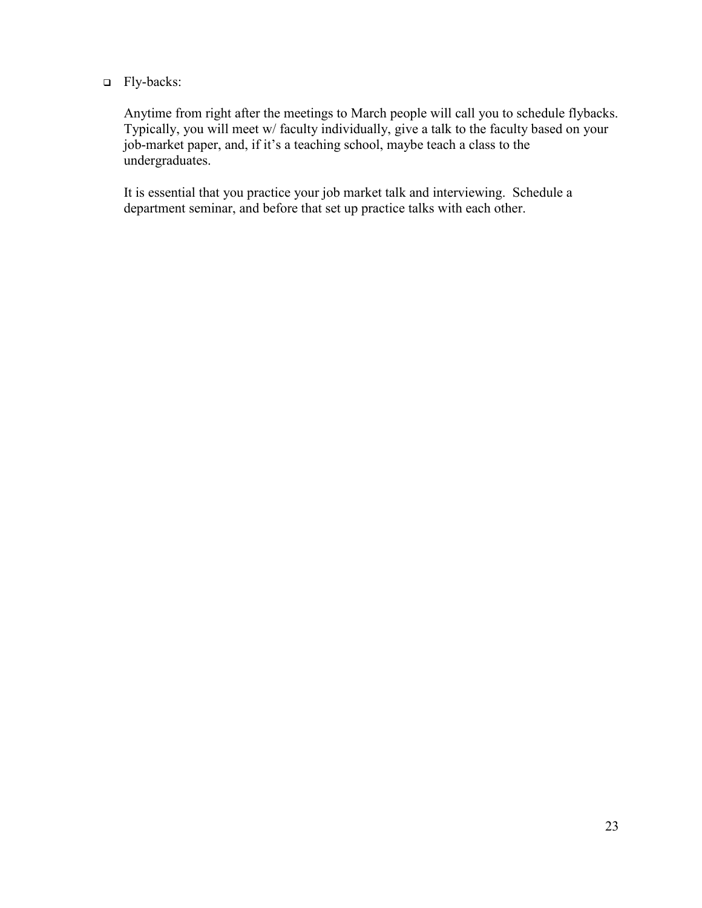#### □ Fly-backs:

Anytime from right after the meetings to March people will call you to schedule flybacks. Typically, you will meet w/ faculty individually, give a talk to the faculty based on your job-market paper, and, if it's a teaching school, maybe teach a class to the undergraduates.

It is essential that you practice your job market talk and interviewing. Schedule a department seminar, and before that set up practice talks with each other.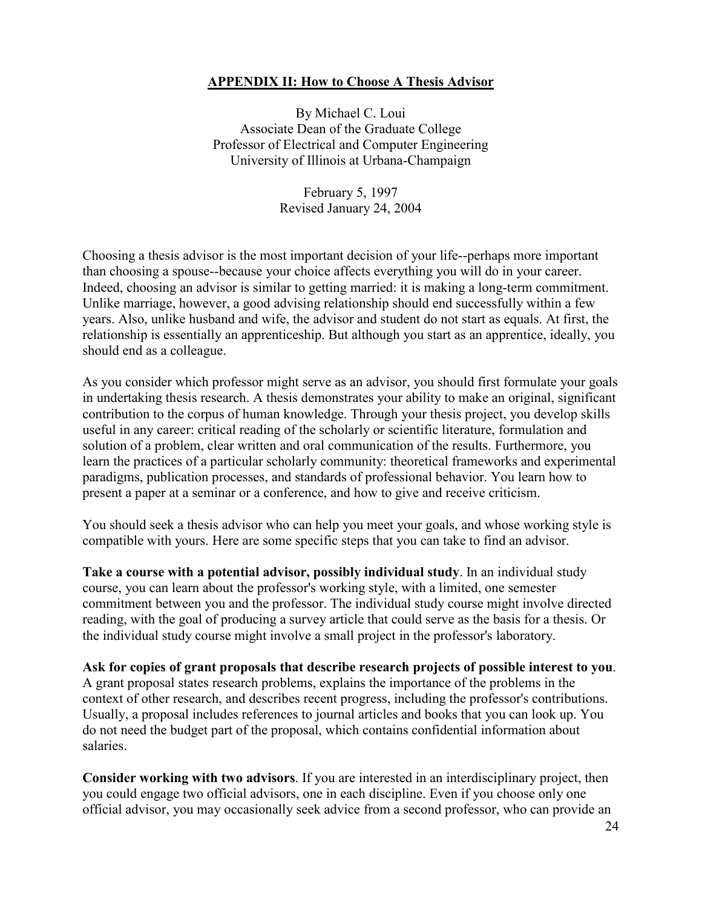#### <span id="page-27-0"></span>**APPENDIX II: How to Choose A Thesis Advisor**

By Michael C. Loui Associate Dean of the Graduate College Professor of Electrical and Computer Engineering University of Illinois at Urbana-Champaign

> February 5, 1997 Revised January 24, 2004

Choosing a thesis advisor is the most important decision of your life--perhaps more important than choosing a spouse--because your choice affects everything you will do in your career. Indeed, choosing an advisor is similar to getting married: it is making a long-term commitment. Unlike marriage, however, a good advising relationship should end successfully within a few years. Also, unlike husband and wife, the advisor and student do not start as equals. At first, the relationship is essentially an apprenticeship. But although you start as an apprentice, ideally, you should end as a colleague.

As you consider which professor might serve as an advisor, you should first formulate your goals in undertaking thesis research. A thesis demonstrates your ability to make an original, significant contribution to the corpus of human knowledge. Through your thesis project, you develop skills useful in any career: critical reading of the scholarly or scientific literature, formulation and solution of a problem, clear written and oral communication of the results. Furthermore, you learn the practices of a particular scholarly community: theoretical frameworks and experimental paradigms, publication processes, and standards of professional behavior. You learn how to present a paper at a seminar or a conference, and how to give and receive criticism.

You should seek a thesis advisor who can help you meet your goals, and whose working style is compatible with yours. Here are some specific steps that you can take to find an advisor.

**Take a course with a potential advisor, possibly individual study**. In an individual study course, you can learn about the professor's working style, with a limited, one semester commitment between you and the professor. The individual study course might involve directed reading, with the goal of producing a survey article that could serve as the basis for a thesis. Or the individual study course might involve a small project in the professor's laboratory.

**Ask for copies of grant proposals that describe research projects of possible interest to you**. A grant proposal states research problems, explains the importance of the problems in the context of other research, and describes recent progress, including the professor's contributions. Usually, a proposal includes references to journal articles and books that you can look up. You do not need the budget part of the proposal, which contains confidential information about salaries.

**Consider working with two advisors**. If you are interested in an interdisciplinary project, then you could engage two official advisors, one in each discipline. Even if you choose only one official advisor, you may occasionally seek advice from a second professor, who can provide an